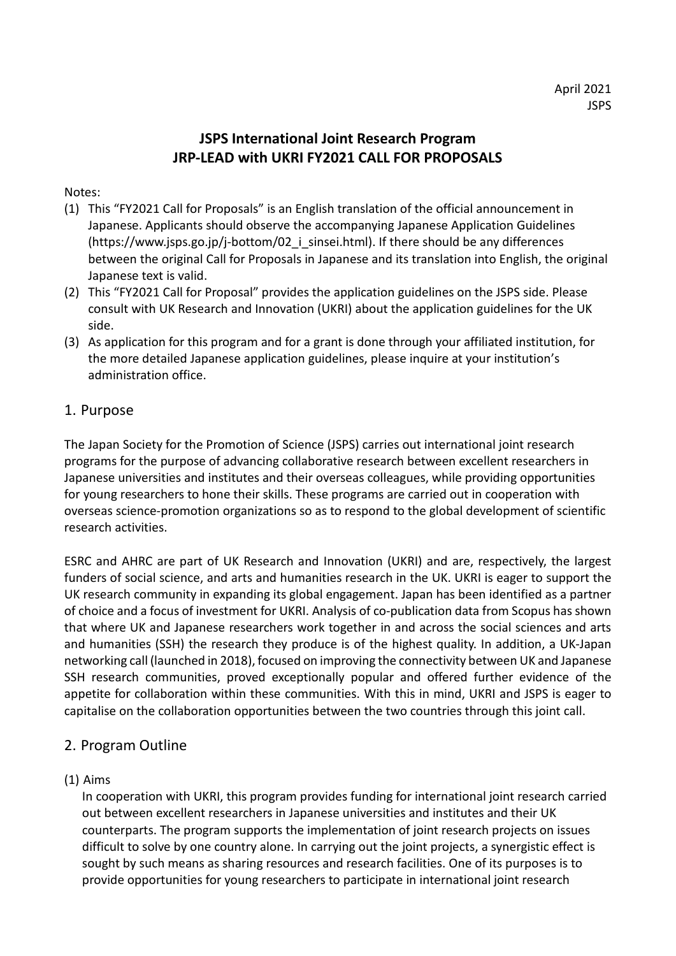# **JSPS International Joint Research Program JRP-LEAD with UKRI FY2021 CALL FOR PROPOSALS**

Notes:

- (1) This "FY2021 Call for Proposals" is an English translation of the official announcement in Japanese. Applicants should observe the accompanying Japanese Application Guidelines  $(\text{https://www.jpps.gov.jp/i-bottom/02}i\text{s}in\text{sei.html}).$  If there should be any differences between the original Call for Proposals in Japanese and its translation into English, the original Japanese text is valid.
- (2) This "FY2021 Call for Proposal" provides the application guidelines on the JSPS side. Please consult with UK Research and Innovation (UKRI) about the application guidelines for the UK side.
- (3) As application for this program and for a grant is done through your affiliated institution, for the more detailed Japanese application guidelines, please inquire at your institution's administration office.

## 1. Purpose

The Japan Society for the Promotion of Science (JSPS) carries out international joint research programs for the purpose of advancing collaborative research between excellent researchers in Japanese universities and institutes and their overseas colleagues, while providing opportunities for young researchers to hone their skills. These programs are carried out in cooperation with overseas science-promotion organizations so as to respond to the global development of scientific research activities.

ESRC and AHRC are part of UK Research and Innovation (UKRI) and are, respectively, the largest funders of social science, and arts and humanities research in the UK. UKRI is eager to support the UK research community in expanding its global engagement. Japan has been identified as a partner of choice and a focus of investment for UKRI. Analysis of co-publication data from Scopus has shown that where UK and Japanese researchers work together in and across the social sciences and arts and humanities (SSH) the research they produce is of the highest quality. In addition, a UK-Japan networking call (launched in 2018), focused on improving the connectivity between UK and Japanese SSH research communities, proved exceptionally popular and offered further evidence of the appetite for collaboration within these communities. With this in mind, UKRI and JSPS is eager to capitalise on the collaboration opportunities between the two countries through this joint call.

## 2. Program Outline

### (1) Aims

In cooperation with UKRI, this program provides funding for international joint research carried out between excellent researchers in Japanese universities and institutes and their UK counterparts. The program supports the implementation of joint research projects on issues difficult to solve by one country alone. In carrying out the joint projects, a synergistic effect is sought by such means as sharing resources and research facilities. One of its purposes is to provide opportunities for young researchers to participate in international joint research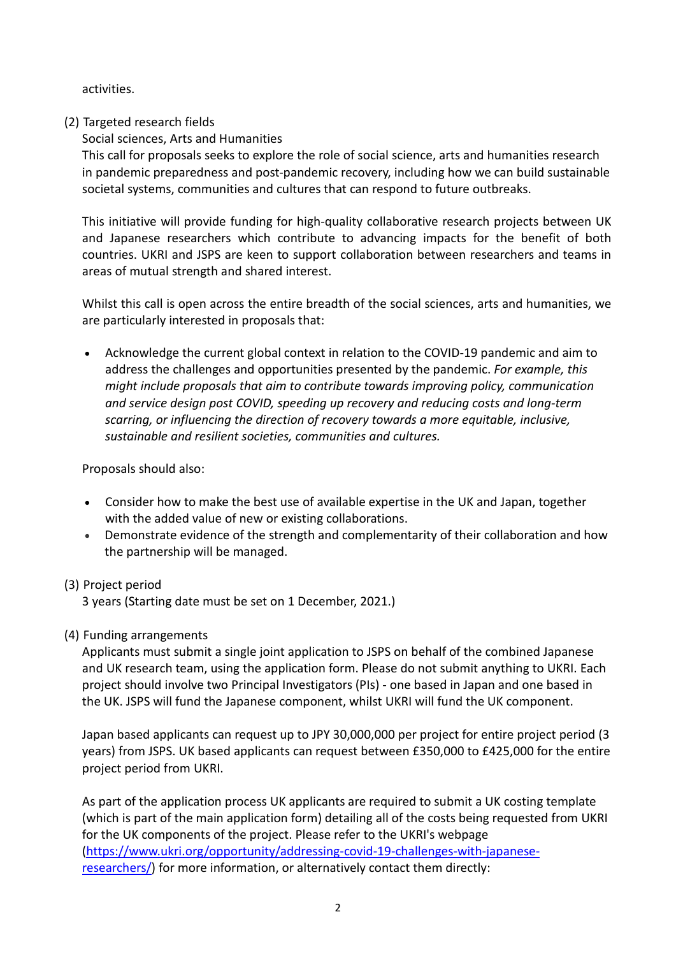activities.

### (2) Targeted research fields

Social sciences, Arts and Humanities

This call for proposals seeks to explore the role of social science, arts and humanities research in pandemic preparedness and post-pandemic recovery, including how we can build sustainable societal systems, communities and cultures that can respond to future outbreaks.

This initiative will provide funding for high-quality collaborative research projects between UK and Japanese researchers which contribute to advancing impacts for the benefit of both countries. UKRI and JSPS are keen to support collaboration between researchers and teams in areas of mutual strength and shared interest.

Whilst this call is open across the entire breadth of the social sciences, arts and humanities, we are particularly interested in proposals that:

• Acknowledge the current global context in relation to the COVID-19 pandemic and aim to address the challenges and opportunities presented by the pandemic. *For example, this might include proposals that aim to contribute towards improving policy, communication and service design post COVID, speeding up recovery and reducing costs and long-term scarring, or influencing the direction of recovery towards a more equitable, inclusive, sustainable and resilient societies, communities and cultures.*

Proposals should also:

- Consider how to make the best use of available expertise in the UK and Japan, together with the added value of new or existing collaborations.
- Demonstrate evidence of the strength and complementarity of their collaboration and how the partnership will be managed.
- (3) Project period

3 years (Starting date must be set on 1 December, 2021.)

(4) Funding arrangements

Applicants must submit a single joint application to JSPS on behalf of the combined Japanese and UK research team, using the application form. Please do not submit anything to UKRI. Each project should involve two Principal Investigators (PIs) - one based in Japan and one based in the UK. JSPS will fund the Japanese component, whilst UKRI will fund the UK component.

Japan based applicants can request up to JPY 30,000,000 per project for entire project period (3 years) from JSPS. UK based applicants can request between £350,000 to £425,000 for the entire project period from UKRI.

As part of the application process UK applicants are required to submit a UK costing template (which is part of the main application form) detailing all of the costs being requested from UKRI for the UK components of the project. Please refer to the UKRI's webpage [\(https://www.ukri.org/opportunity/addressing-covid-19-challenges-with-japanese](https://www.ukri.org/opportunity/addressing-covid-19-challenges-with-japanese-researchers/)[researchers/\)](https://www.ukri.org/opportunity/addressing-covid-19-challenges-with-japanese-researchers/) for more information, or alternatively contact them directly: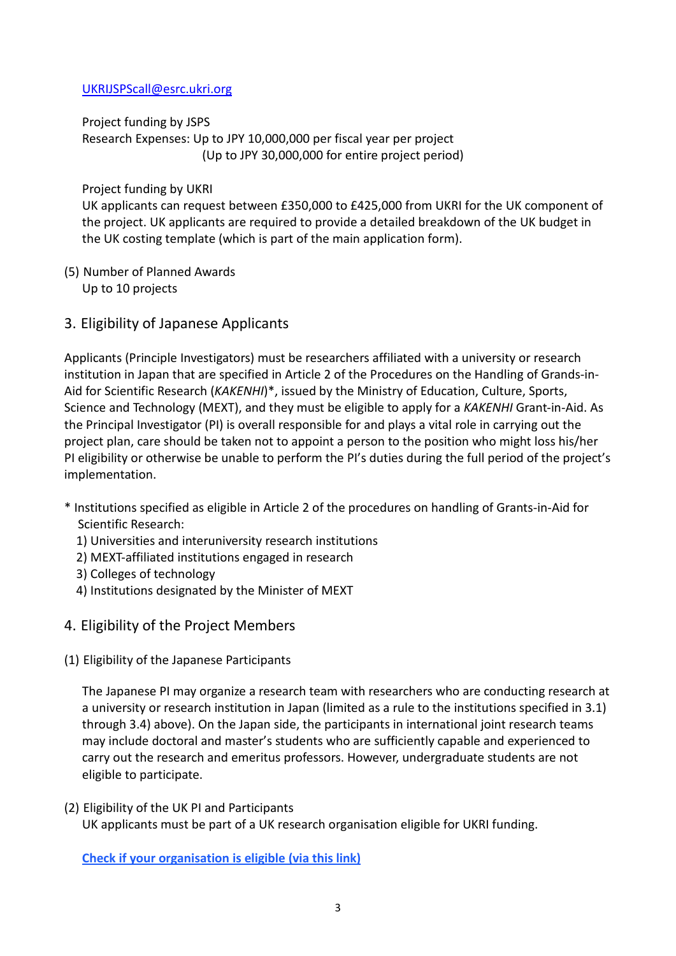#### [UKRIJSPScall@esrc.ukri.org](mailto:UKRIJSPScall@esrc.ukri.org)

Project funding by JSPS

Research Expenses: Up to JPY 10,000,000 per fiscal year per project (Up to JPY 30,000,000 for entire project period)

Project funding by UKRI

UK applicants can request between £350,000 to £425,000 from UKRI for the UK component of the project. UK applicants are required to provide a detailed breakdown of the UK budget in the UK costing template (which is part of the main application form).

- (5) Number of Planned Awards Up to 10 projects
- 3. Eligibility of Japanese Applicants

Applicants (Principle Investigators) must be researchers affiliated with a university or research institution in Japan that are specified in Article 2 of the Procedures on the Handling of Grands-in-Aid for Scientific Research (*KAKENHI*)\*, issued by the Ministry of Education, Culture, Sports, Science and Technology (MEXT), and they must be eligible to apply for a *KAKENHI* Grant-in-Aid. As the Principal Investigator (PI) is overall responsible for and plays a vital role in carrying out the project plan, care should be taken not to appoint a person to the position who might loss his/her PI eligibility or otherwise be unable to perform the PI's duties during the full period of the project's implementation.

- \* Institutions specified as eligible in Article 2 of the procedures on handling of Grants-in-Aid for Scientific Research:
	- 1) Universities and interuniversity research institutions
	- 2) MEXT-affiliated institutions engaged in research
	- 3) Colleges of technology
	- 4) Institutions designated by the Minister of MEXT
- 4. Eligibility of the Project Members
- (1) Eligibility of the Japanese Participants

The Japanese PI may organize a research team with researchers who are conducting research at a university or research institution in Japan (limited as a rule to the institutions specified in 3.1) through 3.4) above). On the Japan side, the participants in international joint research teams may include doctoral and master's students who are sufficiently capable and experienced to carry out the research and emeritus professors. However, undergraduate students are not eligible to participate.

(2) Eligibility of the UK PI and Participants UK applicants must be part of a UK research organisation eligible for UKRI funding.

**[Check if your organisation is eligible](https://www.ukri.org/apply-for-funding/before-you-apply/check-if-you-are-eligible-for-research-and-innovation-funding/who-can-apply-for-funding/) (via this link)**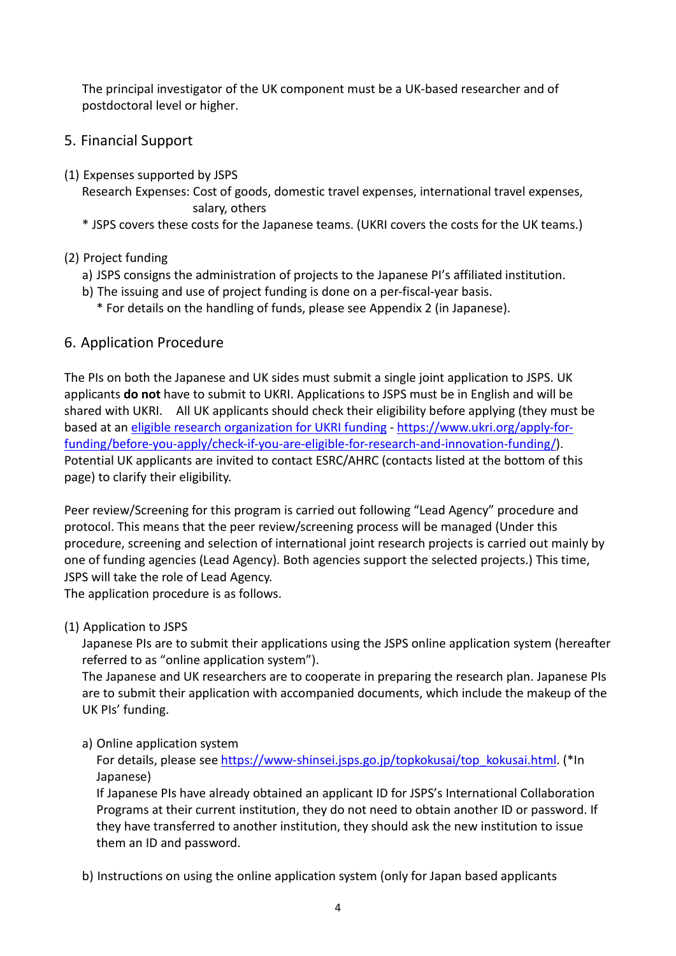The principal investigator of the UK component must be a UK-based researcher and of postdoctoral level or higher.

# 5. Financial Support

- (1) Expenses supported by JSPS
	- Research Expenses: Cost of goods, domestic travel expenses, international travel expenses, salary, others
	- \* JSPS covers these costs for the Japanese teams. (UKRI covers the costs for the UK teams.)

## (2) Project funding

- a) JSPS consigns the administration of projects to the Japanese PI's affiliated institution.
- b) The issuing and use of project funding is done on a per-fiscal-year basis.
	- \* For details on the handling of funds, please see Appendix 2 (in Japanese).

# 6. Application Procedure

The PIs on both the Japanese and UK sides must submit a single joint application to JSPS. UK applicants **do not** have to submit to UKRI. Applications to JSPS must be in English and will be shared with UKRI. All UK applicants should check their eligibility before applying (they must be based at an [eligible research organization for UKRI funding](https://www.ukri.org/apply-for-funding/before-you-apply/check-if-you-are-eligible-for-research-and-innovation-funding/who-can-apply-for-funding/) - [https://www.ukri.org/apply-for](https://www.ukri.org/apply-for-funding/before-you-apply/check-if-you-are-eligible-for-research-and-innovation-funding/)[funding/before-you-apply/check-if-you-are-eligible-for-research-and-innovation-funding/\)](https://www.ukri.org/apply-for-funding/before-you-apply/check-if-you-are-eligible-for-research-and-innovation-funding/). Potential UK applicants are invited to contact ESRC/AHRC (contacts listed at the bottom of this page) to clarify their eligibility.

Peer review/Screening for this program is carried out following "Lead Agency" procedure and protocol. This means that the peer review/screening process will be managed (Under this procedure, screening and selection of international joint research projects is carried out mainly by one of funding agencies (Lead Agency). Both agencies support the selected projects.) This time, JSPS will take the role of Lead Agency.

The application procedure is as follows.

(1) Application to JSPS

Japanese PIs are to submit their applications using the JSPS online application system (hereafter referred to as "online application system").

The Japanese and UK researchers are to cooperate in preparing the research plan. Japanese PIs are to submit their application with accompanied documents, which include the makeup of the UK PIs' funding.

### a) Online application system

For details, please see [https://www-shinsei.jsps.go.jp/topkokusai/top\\_kokusai.html.](https://www-shinsei.jsps.go.jp/topkokusai/top_kokusai.html) (\*In Japanese)

If Japanese PIs have already obtained an applicant ID for JSPS's International Collaboration Programs at their current institution, they do not need to obtain another ID or password. If they have transferred to another institution, they should ask the new institution to issue them an ID and password.

b) Instructions on using the online application system (only for Japan based applicants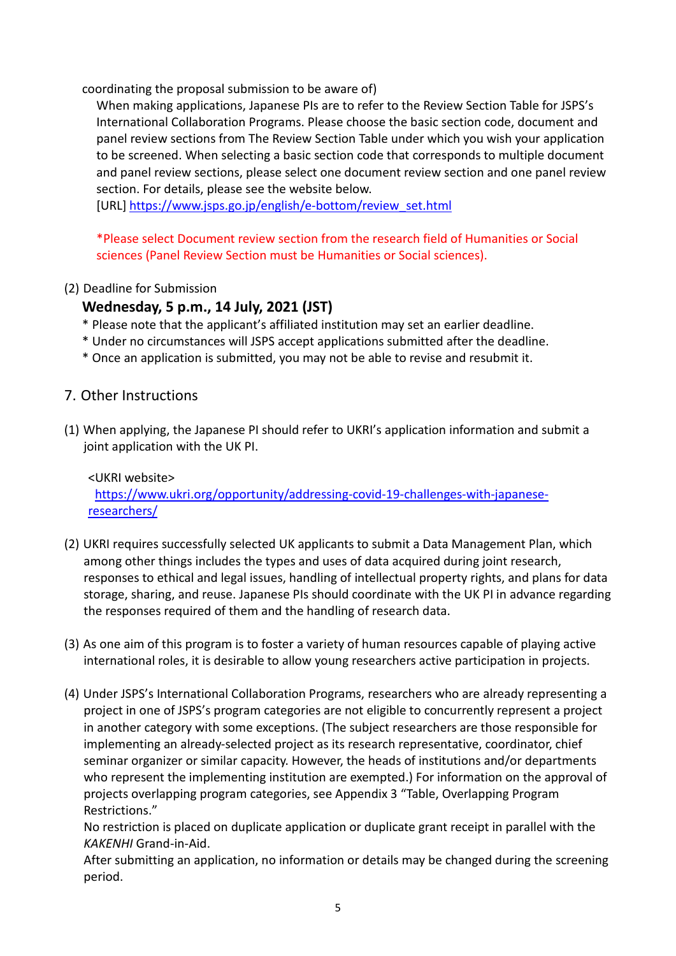coordinating the proposal submission to be aware of)

When making applications, Japanese PIs are to refer to the Review Section Table for JSPS's International Collaboration Programs. Please choose the basic section code, document and panel review sections from The Review Section Table under which you wish your application to be screened. When selecting a basic section code that corresponds to multiple document and panel review sections, please select one document review section and one panel review section. For details, please see the website below.

[URL] [https://www.jsps.go.jp/english/e-bottom/review\\_set.html](https://www.jsps.go.jp/english/e-bottom/review_set.html)

\*Please select Document review section from the research field of Humanities or Social sciences (Panel Review Section must be Humanities or Social sciences).

(2) Deadline for Submission

# **Wednesday, 5 p.m., 14 July, 2021 (JST)**

- \* Please note that the applicant's affiliated institution may set an earlier deadline.
- \* Under no circumstances will JSPS accept applications submitted after the deadline.
- \* Once an application is submitted, you may not be able to revise and resubmit it.

## 7. Other Instructions

(1) When applying, the Japanese PI should refer to UKRI's application information and submit a joint application with the UK PI.

<UKRI website> [https://www.ukri.org/opportunity/addressing-covid-19-challenges-with-japanese](https://www.ukri.org/opportunity/addressing-covid-19-challenges-with-japanese-researchers/)[researchers/](https://www.ukri.org/opportunity/addressing-covid-19-challenges-with-japanese-researchers/)

- (2) UKRI requires successfully selected UK applicants to submit a Data Management Plan, which among other things includes the types and uses of data acquired during joint research, responses to ethical and legal issues, handling of intellectual property rights, and plans for data storage, sharing, and reuse. Japanese PIs should coordinate with the UK PI in advance regarding the responses required of them and the handling of research data.
- (3) As one aim of this program is to foster a variety of human resources capable of playing active international roles, it is desirable to allow young researchers active participation in projects.
- (4) Under JSPS's International Collaboration Programs, researchers who are already representing a project in one of JSPS's program categories are not eligible to concurrently represent a project in another category with some exceptions. (The subject researchers are those responsible for implementing an already-selected project as its research representative, coordinator, chief seminar organizer or similar capacity. However, the heads of institutions and/or departments who represent the implementing institution are exempted.) For information on the approval of projects overlapping program categories, see Appendix 3 "Table, Overlapping Program Restrictions."

No restriction is placed on duplicate application or duplicate grant receipt in parallel with the *KAKENHI* Grand-in-Aid.

After submitting an application, no information or details may be changed during the screening period.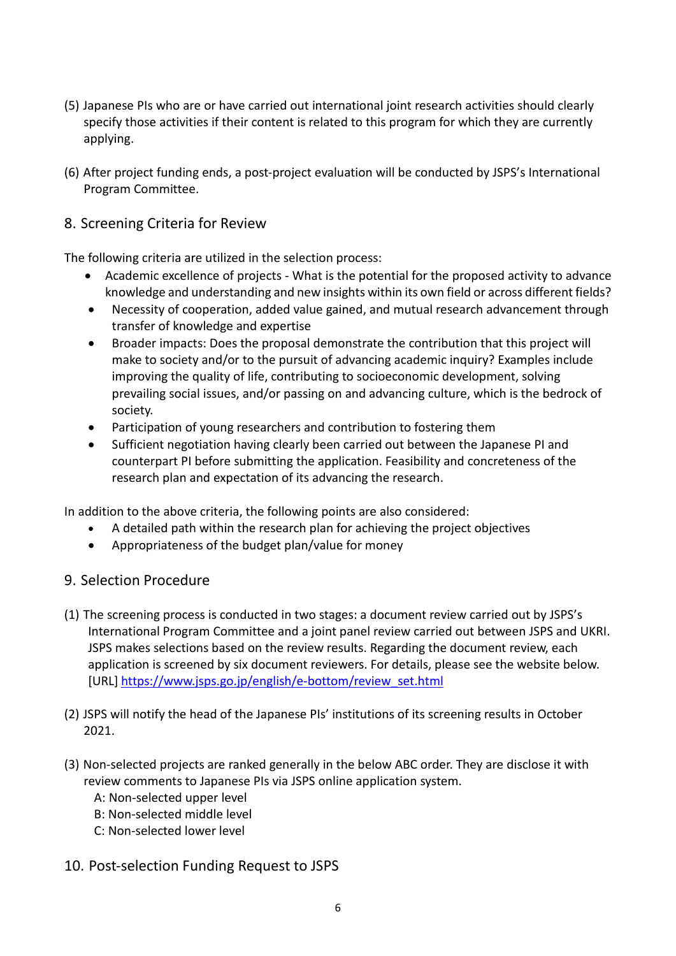- (5) Japanese PIs who are or have carried out international joint research activities should clearly specify those activities if their content is related to this program for which they are currently applying.
- (6) After project funding ends, a post-project evaluation will be conducted by JSPS's International Program Committee.

# 8. Screening Criteria for Review

The following criteria are utilized in the selection process:

- Academic excellence of projects What is the potential for the proposed activity to advance knowledge and understanding and new insights within its own field or across different fields?
- Necessity of cooperation, added value gained, and mutual research advancement through transfer of knowledge and expertise
- Broader impacts: Does the proposal demonstrate the contribution that this project will make to society and/or to the pursuit of advancing academic inquiry? Examples include improving the quality of life, contributing to socioeconomic development, solving prevailing social issues, and/or passing on and advancing culture, which is the bedrock of society.
- Participation of young researchers and contribution to fostering them
- Sufficient negotiation having clearly been carried out between the Japanese PI and counterpart PI before submitting the application. Feasibility and concreteness of the research plan and expectation of its advancing the research.

In addition to the above criteria, the following points are also considered:

- A detailed path within the research plan for achieving the project objectives
- Appropriateness of the budget plan/value for money

### 9. Selection Procedure

- (1) The screening process is conducted in two stages: a document review carried out by JSPS's International Program Committee and a joint panel review carried out between JSPS and UKRI. JSPS makes selections based on the review results. Regarding the document review, each application is screened by six document reviewers. For details, please see the website below. [URL] [https://www.jsps.go.jp/english/e-bottom/review\\_set.html](https://www.jsps.go.jp/english/e-bottom/review_set.html)
- (2) JSPS will notify the head of the Japanese PIs' institutions of its screening results in October 2021.
- (3) Non-selected projects are ranked generally in the below ABC order. They are disclose it with review comments to Japanese PIs via JSPS online application system.
	- A: Non-selected upper level
	- B: Non-selected middle level
	- C: Non-selected lower level
- 10. Post-selection Funding Request to JSPS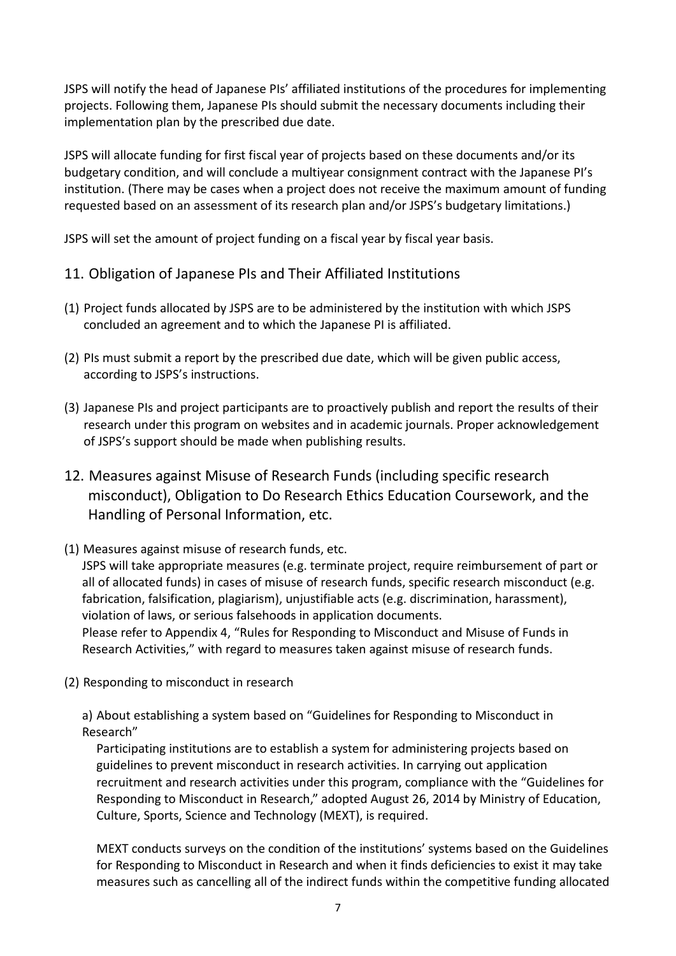JSPS will notify the head of Japanese PIs' affiliated institutions of the procedures for implementing projects. Following them, Japanese PIs should submit the necessary documents including their implementation plan by the prescribed due date.

JSPS will allocate funding for first fiscal year of projects based on these documents and/or its budgetary condition, and will conclude a multiyear consignment contract with the Japanese PI's institution. (There may be cases when a project does not receive the maximum amount of funding requested based on an assessment of its research plan and/or JSPS's budgetary limitations.)

JSPS will set the amount of project funding on a fiscal year by fiscal year basis.

# 11. Obligation of Japanese PIs and Their Affiliated Institutions

- (1) Project funds allocated by JSPS are to be administered by the institution with which JSPS concluded an agreement and to which the Japanese PI is affiliated.
- (2) PIs must submit a report by the prescribed due date, which will be given public access, according to JSPS's instructions.
- (3) Japanese PIs and project participants are to proactively publish and report the results of their research under this program on websites and in academic journals. Proper acknowledgement of JSPS's support should be made when publishing results.
- 12. Measures against Misuse of Research Funds (including specific research misconduct), Obligation to Do Research Ethics Education Coursework, and the Handling of Personal Information, etc.
- (1) Measures against misuse of research funds, etc.

JSPS will take appropriate measures (e.g. terminate project, require reimbursement of part or all of allocated funds) in cases of misuse of research funds, specific research misconduct (e.g. fabrication, falsification, plagiarism), unjustifiable acts (e.g. discrimination, harassment), violation of laws, or serious falsehoods in application documents.

Please refer to Appendix 4, "Rules for Responding to Misconduct and Misuse of Funds in Research Activities," with regard to measures taken against misuse of research funds.

(2) Responding to misconduct in research

a) About establishing a system based on "Guidelines for Responding to Misconduct in Research"

Participating institutions are to establish a system for administering projects based on guidelines to prevent misconduct in research activities. In carrying out application recruitment and research activities under this program, compliance with the "Guidelines for Responding to Misconduct in Research," adopted August 26, 2014 by Ministry of Education, Culture, Sports, Science and Technology (MEXT), is required.

MEXT conducts surveys on the condition of the institutions' systems based on the Guidelines for Responding to Misconduct in Research and when it finds deficiencies to exist it may take measures such as cancelling all of the indirect funds within the competitive funding allocated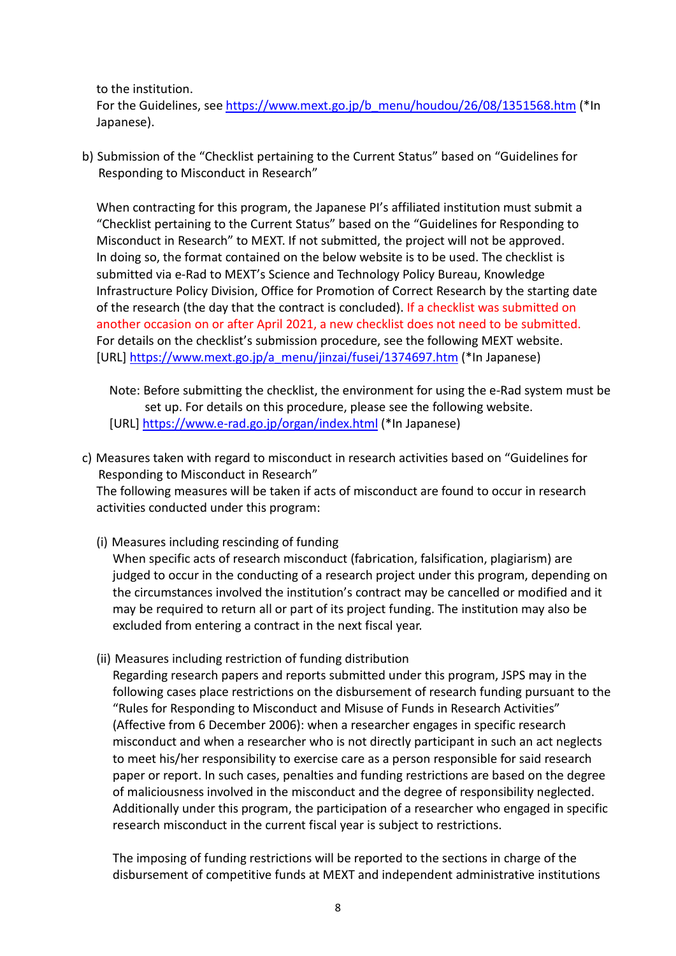to the institution.

For the Guidelines, see [https://www.mext.go.jp/b\\_menu/houdou/26/08/1351568.htm](https://www.mext.go.jp/b_menu/houdou/26/08/1351568.htm) (\*In Japanese).

b) Submission of the "Checklist pertaining to the Current Status" based on "Guidelines for Responding to Misconduct in Research"

When contracting for this program, the Japanese PI's affiliated institution must submit a "Checklist pertaining to the Current Status" based on the "Guidelines for Responding to Misconduct in Research" to MEXT. If not submitted, the project will not be approved. In doing so, the format contained on the below website is to be used. The checklist is submitted via e-Rad to MEXT's Science and Technology Policy Bureau, Knowledge Infrastructure Policy Division, Office for Promotion of Correct Research by the starting date of the research (the day that the contract is concluded). If a checklist was submitted on another occasion on or after April 2021, a new checklist does not need to be submitted. For details on the checklist's submission procedure, see the following MEXT website. [URL] [https://www.mext.go.jp/a\\_menu/jinzai/fusei/1374697.htm](https://www.mext.go.jp/a_menu/jinzai/fusei/1374697.htm) (\*In Japanese)

Note: Before submitting the checklist, the environment for using the e-Rad system must be set up. For details on this procedure, please see the following website. [URL]<https://www.e-rad.go.jp/organ/index.html> (\*In Japanese)

c) Measures taken with regard to misconduct in research activities based on "Guidelines for Responding to Misconduct in Research" The following measures will be taken if acts of misconduct are found to occur in research activities conducted under this program:

(i) Measures including rescinding of funding

When specific acts of research misconduct (fabrication, falsification, plagiarism) are judged to occur in the conducting of a research project under this program, depending on the circumstances involved the institution's contract may be cancelled or modified and it may be required to return all or part of its project funding. The institution may also be excluded from entering a contract in the next fiscal year.

(ii) Measures including restriction of funding distribution

Regarding research papers and reports submitted under this program, JSPS may in the following cases place restrictions on the disbursement of research funding pursuant to the "Rules for Responding to Misconduct and Misuse of Funds in Research Activities" (Affective from 6 December 2006): when a researcher engages in specific research misconduct and when a researcher who is not directly participant in such an act neglects to meet his/her responsibility to exercise care as a person responsible for said research paper or report. In such cases, penalties and funding restrictions are based on the degree of maliciousness involved in the misconduct and the degree of responsibility neglected. Additionally under this program, the participation of a researcher who engaged in specific research misconduct in the current fiscal year is subject to restrictions.

The imposing of funding restrictions will be reported to the sections in charge of the disbursement of competitive funds at MEXT and independent administrative institutions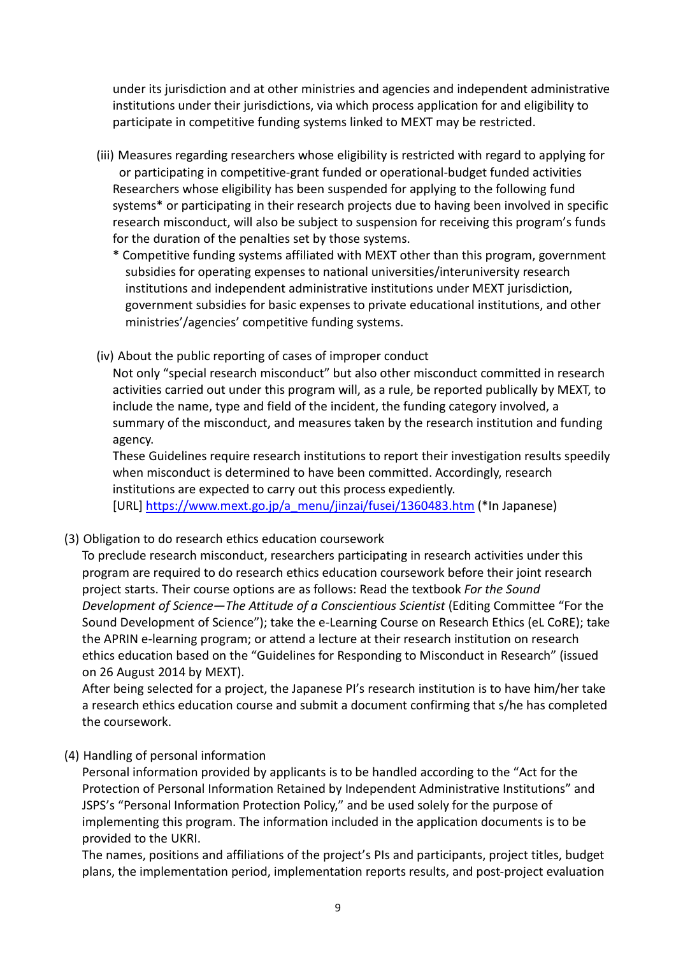under its jurisdiction and at other ministries and agencies and independent administrative institutions under their jurisdictions, via which process application for and eligibility to participate in competitive funding systems linked to MEXT may be restricted.

- (iii) Measures regarding researchers whose eligibility is restricted with regard to applying for or participating in competitive-grant funded or operational-budget funded activities Researchers whose eligibility has been suspended for applying to the following fund systems\* or participating in their research projects due to having been involved in specific research misconduct, will also be subject to suspension for receiving this program's funds for the duration of the penalties set by those systems.
	- \* Competitive funding systems affiliated with MEXT other than this program, government subsidies for operating expenses to national universities/interuniversity research institutions and independent administrative institutions under MEXT jurisdiction, government subsidies for basic expenses to private educational institutions, and other ministries'/agencies' competitive funding systems.
- (iv) About the public reporting of cases of improper conduct

Not only "special research misconduct" but also other misconduct committed in research activities carried out under this program will, as a rule, be reported publically by MEXT, to include the name, type and field of the incident, the funding category involved, a summary of the misconduct, and measures taken by the research institution and funding agency.

These Guidelines require research institutions to report their investigation results speedily when misconduct is determined to have been committed. Accordingly, research institutions are expected to carry out this process expediently.

[URL] [https://www.mext.go.jp/a\\_menu/jinzai/fusei/1360483.htm](https://www.mext.go.jp/a_menu/jinzai/fusei/1360483.htm) (\*In Japanese)

(3) Obligation to do research ethics education coursework

To preclude research misconduct, researchers participating in research activities under this program are required to do research ethics education coursework before their joint research project starts. Their course options are as follows: Read the textbook *For the Sound Development of Science—The Attitude of a Conscientious Scientist* (Editing Committee "For the Sound Development of Science"); take the e-Learning Course on Research Ethics (eL CoRE); take the APRIN e-learning program; or attend a lecture at their research institution on research ethics education based on the "Guidelines for Responding to Misconduct in Research" (issued on 26 August 2014 by MEXT).

After being selected for a project, the Japanese PI's research institution is to have him/her take a research ethics education course and submit a document confirming that s/he has completed the coursework.

(4) Handling of personal information

Personal information provided by applicants is to be handled according to the "Act for the Protection of Personal Information Retained by Independent Administrative Institutions" and JSPS's "Personal Information Protection Policy," and be used solely for the purpose of implementing this program. The information included in the application documents is to be provided to the UKRI.

The names, positions and affiliations of the project's PIs and participants, project titles, budget plans, the implementation period, implementation reports results, and post-project evaluation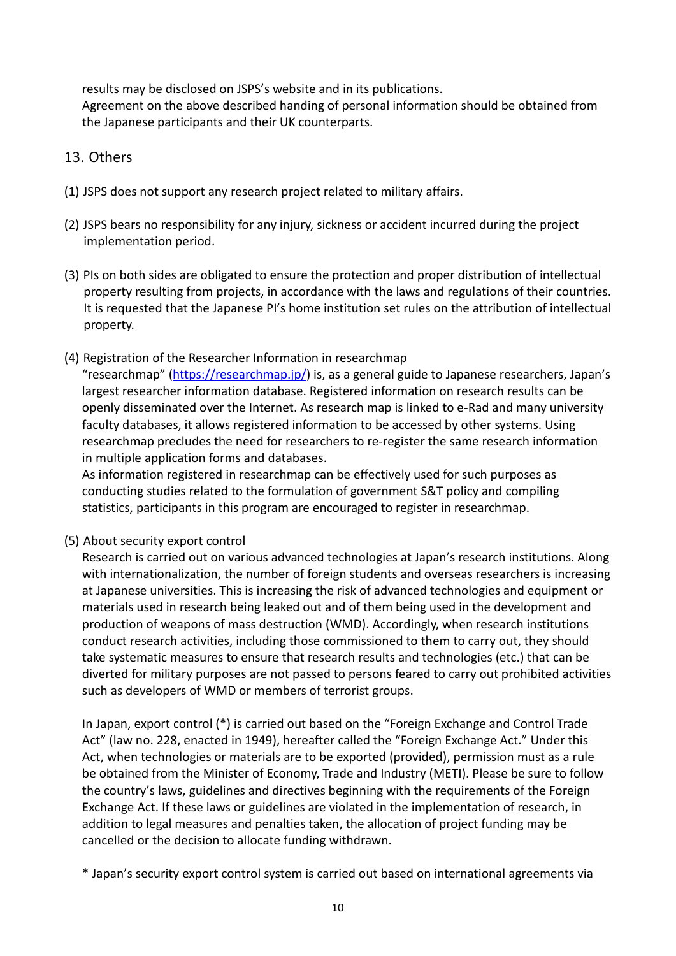results may be disclosed on JSPS's website and in its publications. Agreement on the above described handing of personal information should be obtained from the Japanese participants and their UK counterparts.

# 13. Others

- (1) JSPS does not support any research project related to military affairs.
- (2) JSPS bears no responsibility for any injury, sickness or accident incurred during the project implementation period.
- (3) PIs on both sides are obligated to ensure the protection and proper distribution of intellectual property resulting from projects, in accordance with the laws and regulations of their countries. It is requested that the Japanese PI's home institution set rules on the attribution of intellectual property.
- (4) Registration of the Researcher Information in researchmap

"researchmap" [\(https://researchmap.jp/\)](https://researchmap.jp/) is, as a general guide to Japanese researchers, Japan's largest researcher information database. Registered information on research results can be openly disseminated over the Internet. As research map is linked to e-Rad and many university faculty databases, it allows registered information to be accessed by other systems. Using researchmap precludes the need for researchers to re-register the same research information in multiple application forms and databases.

As information registered in researchmap can be effectively used for such purposes as conducting studies related to the formulation of government S&T policy and compiling statistics, participants in this program are encouraged to register in researchmap.

(5) About security export control

Research is carried out on various advanced technologies at Japan's research institutions. Along with internationalization, the number of foreign students and overseas researchers is increasing at Japanese universities. This is increasing the risk of advanced technologies and equipment or materials used in research being leaked out and of them being used in the development and production of weapons of mass destruction (WMD). Accordingly, when research institutions conduct research activities, including those commissioned to them to carry out, they should take systematic measures to ensure that research results and technologies (etc.) that can be diverted for military purposes are not passed to persons feared to carry out prohibited activities such as developers of WMD or members of terrorist groups.

In Japan, export control (\*) is carried out based on the "Foreign Exchange and Control Trade Act" (law no. 228, enacted in 1949), hereafter called the "Foreign Exchange Act." Under this Act, when technologies or materials are to be exported (provided), permission must as a rule be obtained from the Minister of Economy, Trade and Industry (METI). Please be sure to follow the country's laws, guidelines and directives beginning with the requirements of the Foreign Exchange Act. If these laws or guidelines are violated in the implementation of research, in addition to legal measures and penalties taken, the allocation of project funding may be cancelled or the decision to allocate funding withdrawn.

<sup>\*</sup> Japan's security export control system is carried out based on international agreements via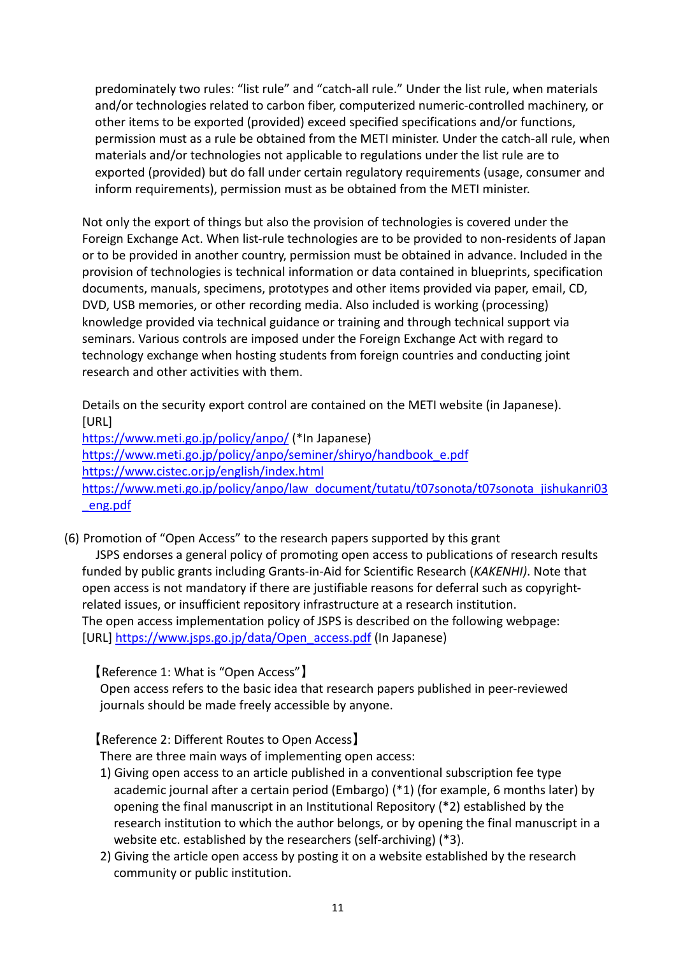predominately two rules: "list rule" and "catch-all rule." Under the list rule, when materials and/or technologies related to carbon fiber, computerized numeric-controlled machinery, or other items to be exported (provided) exceed specified specifications and/or functions, permission must as a rule be obtained from the METI minister. Under the catch-all rule, when materials and/or technologies not applicable to regulations under the list rule are to exported (provided) but do fall under certain regulatory requirements (usage, consumer and inform requirements), permission must as be obtained from the METI minister.

Not only the export of things but also the provision of technologies is covered under the Foreign Exchange Act. When list-rule technologies are to be provided to non-residents of Japan or to be provided in another country, permission must be obtained in advance. Included in the provision of technologies is technical information or data contained in blueprints, specification documents, manuals, specimens, prototypes and other items provided via paper, email, CD, DVD, USB memories, or other recording media. Also included is working (processing) knowledge provided via technical guidance or training and through technical support via seminars. Various controls are imposed under the Foreign Exchange Act with regard to technology exchange when hosting students from foreign countries and conducting joint research and other activities with them.

Details on the security export control are contained on the METI website (in Japanese). [URL] <https://www.meti.go.jp/policy/anpo/> (\*In Japanese) [https://www.meti.go.jp/policy/anpo/seminer/shiryo/handbook\\_e.pdf](https://www.meti.go.jp/policy/anpo/seminer/shiryo/handbook_e.pdf) <https://www.cistec.or.jp/english/index.html> [https://www.meti.go.jp/policy/anpo/law\\_document/tutatu/t07sonota/t07sonota\\_jishukanri03](https://www.meti.go.jp/policy/anpo/law_document/tutatu/t07sonota/t07sonota_jishukanri03_eng.pdf) [\\_eng.pdf](https://www.meti.go.jp/policy/anpo/law_document/tutatu/t07sonota/t07sonota_jishukanri03_eng.pdf)

(6) Promotion of "Open Access" to the research papers supported by this grant JSPS endorses a general policy of promoting open access to publications of research results funded by public grants including Grants-in-Aid for Scientific Research (*KAKENHI)*. Note that open access is not mandatory if there are justifiable reasons for deferral such as copyrightrelated issues, or insufficient repository infrastructure at a research institution. The open access implementation policy of JSPS is described on the following webpage: [URL] [https://www.jsps.go.jp/data/Open\\_access.pdf](https://www.jsps.go.jp/data/Open_access.pdf) (In Japanese)

【Reference 1: What is "Open Access"】

Open access refers to the basic idea that research papers published in peer-reviewed journals should be made freely accessible by anyone.

【Reference 2: Different Routes to Open Access】

There are three main ways of implementing open access:

- 1) Giving open access to an article published in a conventional subscription fee type academic journal after a certain period (Embargo) (\*1) (for example, 6 months later) by opening the final manuscript in an Institutional Repository (\*2) established by the research institution to which the author belongs, or by opening the final manuscript in a website etc. established by the researchers (self-archiving) (\*3).
- 2) Giving the article open access by posting it on a website established by the research community or public institution.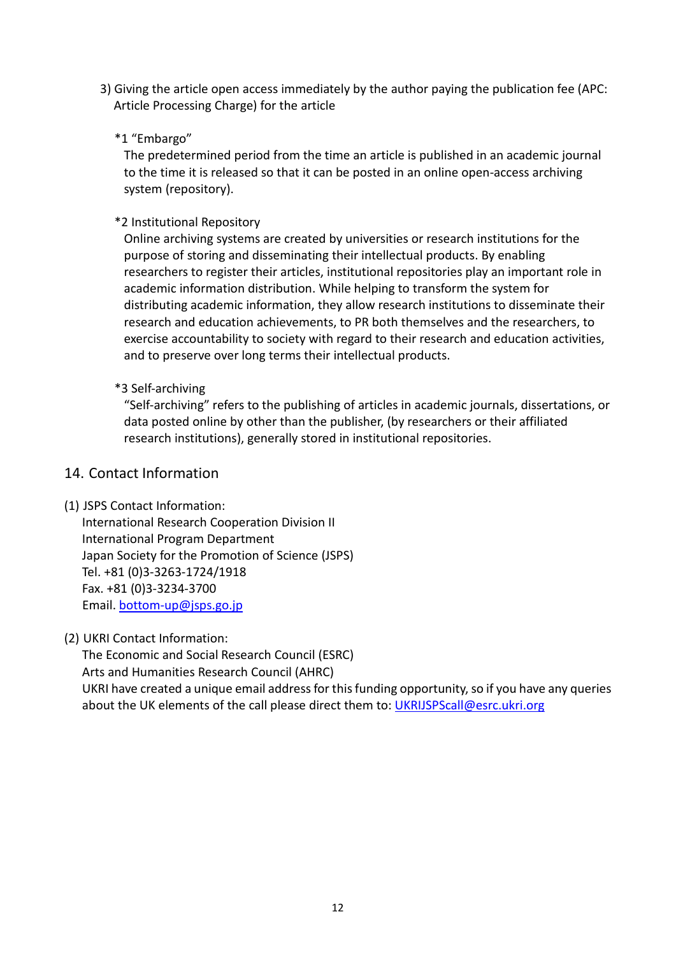3) Giving the article open access immediately by the author paying the publication fee (APC: Article Processing Charge) for the article

## \*1 "Embargo"

The predetermined period from the time an article is published in an academic journal to the time it is released so that it can be posted in an online open-access archiving system (repository).

## \*2 Institutional Repository

Online archiving systems are created by universities or research institutions for the purpose of storing and disseminating their intellectual products. By enabling researchers to register their articles, institutional repositories play an important role in academic information distribution. While helping to transform the system for distributing academic information, they allow research institutions to disseminate their research and education achievements, to PR both themselves and the researchers, to exercise accountability to society with regard to their research and education activities, and to preserve over long terms their intellectual products.

## \*3 Self-archiving

"Self-archiving" refers to the publishing of articles in academic journals, dissertations, or data posted online by other than the publisher, (by researchers or their affiliated research institutions), generally stored in institutional repositories.

# 14. Contact Information

## (1) JSPS Contact Information:

International Research Cooperation Division II International Program Department Japan Society for the Promotion of Science (JSPS) Tel. +81 (0)3-3263-1724/1918 Fax. +81 (0)3-3234-3700 Email. [bottom-up@jsps.go.jp](mailto:bottom-up@jsps.go.jp)

## (2) UKRI Contact Information:

The Economic and Social Research Council (ESRC) Arts and Humanities Research Council (AHRC) UKRI have created a unique email address for this funding opportunity, so if you have any queries about the UK elements of the call please direct them to: *UKRIJSPScall@esrc.ukri.org*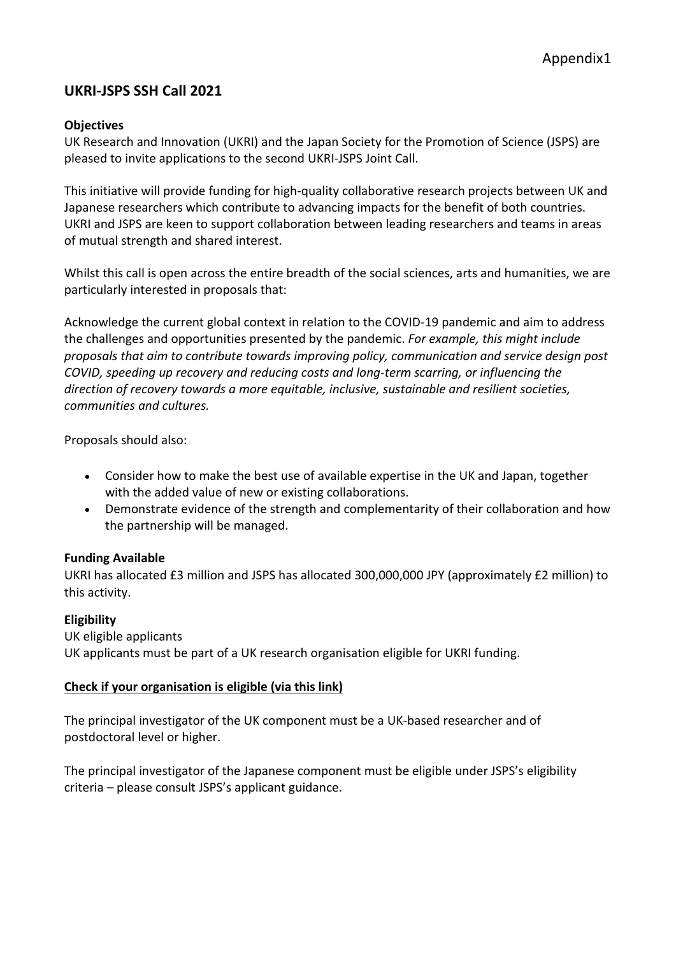# **UKRI-JSPS SSH Call 2021**

#### **Objectives**

UK Research and Innovation (UKRI) and the Japan Society for the Promotion of Science (JSPS) are pleased to invite applications to the second UKRI-JSPS Joint Call.

This initiative will provide funding for high-quality collaborative research projects between UK and Japanese researchers which contribute to advancing impacts for the benefit of both countries. UKRI and JSPS are keen to support collaboration between leading researchers and teams in areas of mutual strength and shared interest.

Whilst this call is open across the entire breadth of the social sciences, arts and humanities, we are particularly interested in proposals that:

Acknowledge the current global context in relation to the COVID-19 pandemic and aim to address the challenges and opportunities presented by the pandemic. *For example, this might include proposals that aim to contribute towards improving policy, communication and service design post COVID, speeding up recovery and reducing costs and long-term scarring, or influencing the direction of recovery towards a more equitable, inclusive, sustainable and resilient societies, communities and cultures.*

Proposals should also:

- Consider how to make the best use of available expertise in the UK and Japan, together with the added value of new or existing collaborations.
- Demonstrate evidence of the strength and complementarity of their collaboration and how the partnership will be managed.

#### **Funding Available**

UKRI has allocated £3 million and JSPS has allocated 300,000,000 JPY (approximately £2 million) to this activity.

#### **Eligibility**

UK eligible applicants UK applicants must be part of a UK research organisation eligible for UKRI funding.

#### **[Check if your organisation is eligible](https://www.ukri.org/apply-for-funding/before-you-apply/check-if-you-are-eligible-for-research-and-innovation-funding/who-can-apply-for-funding/) (via this link)**

The principal investigator of the UK component must be a UK-based researcher and of postdoctoral level or higher.

The principal investigator of the Japanese component must be eligible under JSPS's eligibility criteria – please consult JSPS's applicant guidance.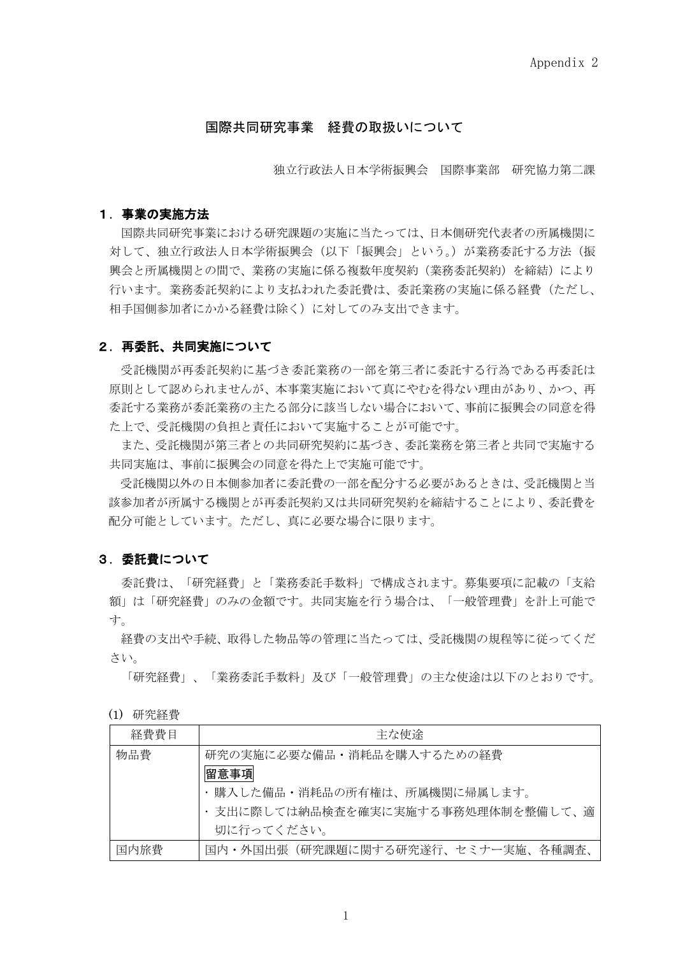#### 国際共同研究事業 経費の取扱いについて

独立行政法人日本学術振興会 国際事業部 研究協力第二課

#### 1.事業の実施方法

国際共同研究事業における研究課題の実施に当たっては、日本側研究代表者の所属機関に 対して、独立行政法人日本学術振興会(以下「振興会」という。)が業務委託する方法(振 興会と所属機関との間で、業務の実施に係る複数年度契約(業務委託契約)を締結)により 行います。業務委託契約により支払われた委託費は、委託業務の実施に係る経費(ただし、 相手国側参加者にかかる経費は除く)に対してのみ支出できます。

#### 2.再委託、共同実施について

受託機関が再委託契約に基づき委託業務の一部を第三者に委託する行為である再委託は 原則として認められませんが、本事業実施において真にやむを得ない理由があり、かつ、再 委託する業務が委託業務の主たる部分に該当しない場合において、事前に振興会の同意を得 た上で、受託機関の負担と責任において実施することが可能です。

また、受託機関が第三者との共同研究契約に基づき、委託業務を第三者と共同で実施する 共同実施は、事前に振興会の同意を得た上で実施可能です。

 受託機関以外の日本側参加者に委託費の一部を配分する必要があるときは、受託機関と当 該参加者が所属する機関とが再委託契約又は共同研究契約を締結することにより、委託費を 配分可能としています。ただし、真に必要な場合に限ります。

#### 3.委託費について

委託費は、「研究経費」と「業務委託手数料」で構成されます。募集要項に記載の「支給 額」は「研究経費」のみの金額です。共同実施を行う場合は、「一般管理費」を計上可能で す。

経費の支出や手続、取得した物品等の管理に当たっては、受託機関の規程等に従ってくだ さい。

「研究経費」、「業務委託手数料」及び「一般管理費」の主な使途は以下のとおりです。

| 研究経費<br>(1) |
|-------------|
|-------------|

| 経費費目 | 主な使涂                                                                           |
|------|--------------------------------------------------------------------------------|
| 物品費  | 研究の実施に必要な備品・消耗品を購入するための経費<br>留意事項                                              |
|      | ・購入した備品・消耗品の所有権は、所属機関に帰属します。<br>支出に際しては納品検査を確実に実施する事務処理体制を整備して、適<br>切に行ってください。 |
| 国内旅費 | 国内・外国出張(研究課題に関する研究遂行、セミナー実施、各種調査、                                              |

1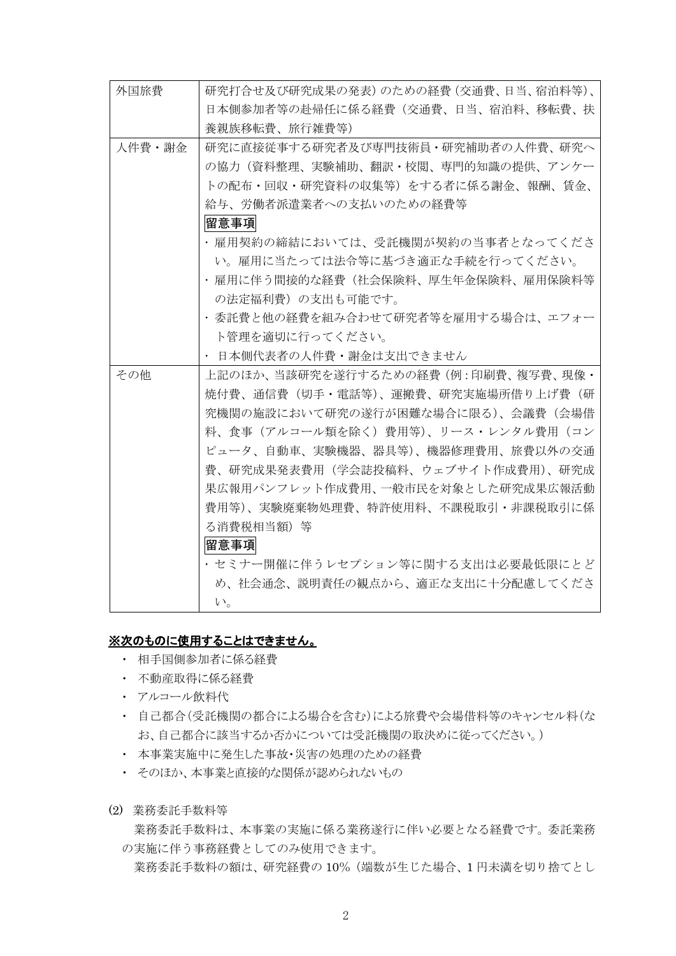| 外国旅費   | 研究打合せ及び研究成果の発表)のための経費(交通費、日当、宿泊料等)、 |
|--------|-------------------------------------|
|        | 日本側参加者等の赴帰任に係る経費(交通費、日当、宿泊料、移転費、扶   |
|        | 養親族移転費、旅行雑費等)                       |
| 人件費・謝金 | 研究に直接従事する研究者及び専門技術員・研究補助者の人件費、研究へ   |
|        | の協力(資料整理、実験補助、翻訳・校閲、専門的知識の提供、アンケー   |
|        | トの配布・回収・研究資料の収集等)をする者に係る謝金、報酬、賃金、   |
|        | 給与、労働者派遣業者への支払いのための経費等              |
|        | 留意事項                                |
|        | ・雇用契約の締結においては、受託機関が契約の当事者となってくださ    |
|        | い。雇用に当たっては法令等に基づき適正な手続を行ってください。     |
|        | ・雇用に伴う間接的な経費(社会保険料、厚生年金保険料、雇用保険料等   |
|        | の法定福利費)の支出も可能です。                    |
|        | ・委託費と他の経費を組み合わせて研究者等を雇用する場合は、エフォー   |
|        | ト管理を適切に行ってください。                     |
|        | ・ 日本側代表者の人件費・謝金は支出できません             |
| その他    | 上記のほか、当該研究を遂行するための経費(例:印刷費、複写費、現像・  |
|        | 焼付費、通信費(切手・雷話等)、運搬費、研究実施場所借り上げ費(研   |
|        | 究機関の施設において研究の遂行が困難な場合に限る)、会議費(会場借   |
|        |                                     |
|        | 料、食事(アルコール類を除く)費用等)、リース・レンタル費用(コン   |
|        | ピュータ、自動車、実験機器、器具等)、機器修理費用、旅費以外の交通   |
|        | 費、研究成果発表費用(学会誌投稿料、ウェブサイト作成費用)、研究成   |
|        | 果広報用パンフレット作成費用、一般市民を対象とした研究成果広報活動   |
|        | 費用等)、実験廃棄物処理費、特許使用料、不課税取引・非課税取引に係   |
|        | る消費税相当額) 等                          |
|        | 留意事項                                |
|        | ・セミナー開催に伴うレセプション等に関する支出は必要最低限にとど    |
|        | め、社会通念、説明責任の観点から、適正な支出に十分配慮してくださ    |

#### ※次のものに使用することはできません。

- ・ 相手国側参加者に係る経費
- ・ 不動産取得に係る経費
- ・ アルコール飲料代
- ・ 自己都合(受託機関の都合による場合を含む)による旅費や会場借料等のキャンセル料(な お、自己都合に該当するか否かについては受託機関の取決めに従ってください。)
- ・ 本事業実施中に発生した事故・災害の処理のための経費
- ・ そのほか、本事業と直接的な関係が認められないもの
- (2) 業務委託手数料等

業務委託手数料は、本事業の実施に係る業務遂行に伴い必要となる経費です。委託業務 の実施に伴う事務経費としてのみ使用できます。

業務委託手数料の額は、研究経費の 10%(端数が生じた場合、1 円未満を切り捨てとし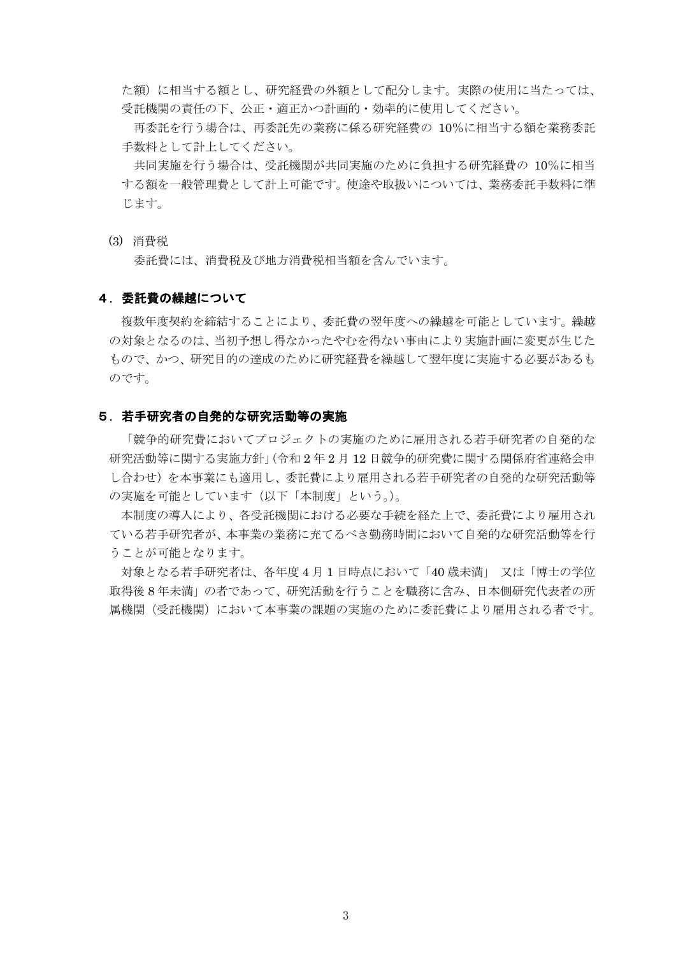た額)に相当する額とし、研究経費の外額として配分します。実際の使用に当たっては、 受託機関の責任の下、公正・適正かつ計画的・効率的に使用してください。

再委託を行う場合は、再委託先の業務に係る研究経費の 10%に相当する額を業務委託 手数料として計上してください。

共同実施を行う場合は、受託機関が共同実施のために負担する研究経費の 10%に相当 する額を一般管理費として計上可能です。使途や取扱いについては、業務委託手数料に準 じます。

(3) 消費税

委託費には、消費税及び地方消費税相当額を含んでいます。

#### 4.委託費の繰越について

複数年度契約を締結することにより、委託費の翌年度への繰越を可能としています。繰越 の対象となるのは、当初予想し得なかったやむを得ない事由により実施計画に変更が生じた もので、かつ、研究目的の達成のために研究経費を繰越して翌年度に実施する必要があるも のです。

#### 5.若手研究者の自発的な研究活動等の実施

「競争的研究費においてプロジェクトの実施のために雇用される若手研究者の自発的な 研究活動等に関する実施方針」(令和 2 年 2 月 12 日競争的研究費に関する関係府省連絡会申 し合わせ)を本事業にも適用し、委託費により雇用される若手研究者の自発的な研究活動等 の実施を可能としています(以下「本制度」という。)。

本制度の導入により、各受託機関における必要な手続を経た上で、委託費により雇用され ている若手研究者が、本事業の業務に充てるべき勤務時間において自発的な研究活動等を行 うことが可能となります。

対象となる若手研究者は、各年度 4 月 1 日時点において「40 歳未満」 又は「博士の学位 取得後 8 年未満」の者であって、研究活動を行うことを職務に含み、日本側研究代表者の所 属機関(受託機関)において本事業の課題の実施のために委託費により雇用される者です。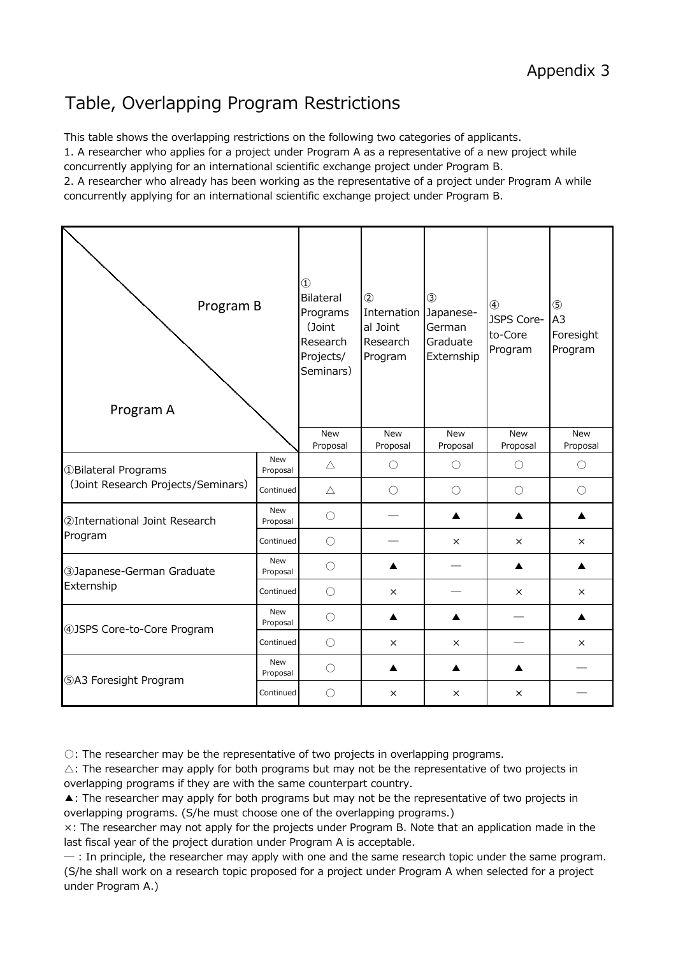# Table, Overlapping Program Restrictions

This table shows the overlapping restrictions on the following two categories of applicants. 1. A researcher who applies for a project under Program A as a representative of a new project while

concurrently applying for an international scientific exchange project under Program B.

2. A researcher who already has been working as the representative of a project under Program A while concurrently applying for an international scientific exchange project under Program B.

| Program B<br>Program A             |                        | $\circled{1}$<br><b>Bilateral</b><br>Programs<br>(Joint<br>Research<br>Projects/<br>Seminars) | $\circled{2}$<br>Internation<br>al Joint<br>Research<br>Program | $\circled{3}$<br>Japanese-<br>German<br>Graduate<br>Externship | $\circled{4}$<br>JSPS Core-<br>to-Core<br>Program | $\circledS$<br>A <sub>3</sub><br>Foresight<br>Program |
|------------------------------------|------------------------|-----------------------------------------------------------------------------------------------|-----------------------------------------------------------------|----------------------------------------------------------------|---------------------------------------------------|-------------------------------------------------------|
|                                    |                        | <b>New</b><br>Proposal                                                                        | <b>New</b><br>Proposal                                          | <b>New</b><br>Proposal                                         | New<br>Proposal                                   | New<br>Proposal                                       |
| <b>1</b> Bilateral Programs        | <b>New</b><br>Proposal | $\triangle$                                                                                   | $\bigcirc$                                                      | $\bigcirc$                                                     | $\bigcirc$                                        | $\bigcirc$                                            |
| (Joint Research Projects/Seminars) | Continued              | $\triangle$                                                                                   | $\bigcirc$                                                      | $\bigcirc$                                                     | $\bigcirc$                                        | $\bigcirc$                                            |
| 2International Joint Research      | New<br>Proposal        | $\bigcirc$                                                                                    |                                                                 | ▲                                                              |                                                   | ▲                                                     |
| Program                            | Continued              | $\bigcirc$                                                                                    |                                                                 | $\times$                                                       | $\times$                                          | $\times$                                              |
| 3Japanese-German Graduate          | <b>New</b><br>Proposal | $\bigcirc$                                                                                    |                                                                 |                                                                |                                                   | ▲                                                     |
| Externship                         | Continued              | $\bigcirc$                                                                                    | X                                                               |                                                                | X                                                 | $\times$                                              |
| 4) JSPS Core-to-Core Program       | <b>New</b><br>Proposal | $\bigcirc$                                                                                    | ▲                                                               | ▲                                                              |                                                   | ▲                                                     |
|                                    | Continued              | $\bigcirc$                                                                                    | $\times$                                                        | $\times$                                                       |                                                   | $\times$                                              |
| <b>5A3 Foresight Program</b>       | New<br>Proposal        | $\bigcirc$                                                                                    | $\blacktriangle$                                                | ▲                                                              | ▲                                                 |                                                       |
|                                    | Continued              | $\bigcirc$                                                                                    | $\times$                                                        | $\times$                                                       | $\times$                                          |                                                       |

○: The researcher may be the representative of two projects in overlapping programs.

 $\triangle$ : The researcher may apply for both programs but may not be the representative of two projects in overlapping programs if they are with the same counterpart country.

▲: The researcher may apply for both programs but may not be the representative of two projects in overlapping programs. (S/he must choose one of the overlapping programs.)

×: The researcher may not apply for the projects under Program B. Note that an application made in the last fiscal year of the project duration under Program A is acceptable.

 $-$ : In principle, the researcher may apply with one and the same research topic under the same program. (S/he shall work on a research topic proposed for a project under Program A when selected for a project under Program A.)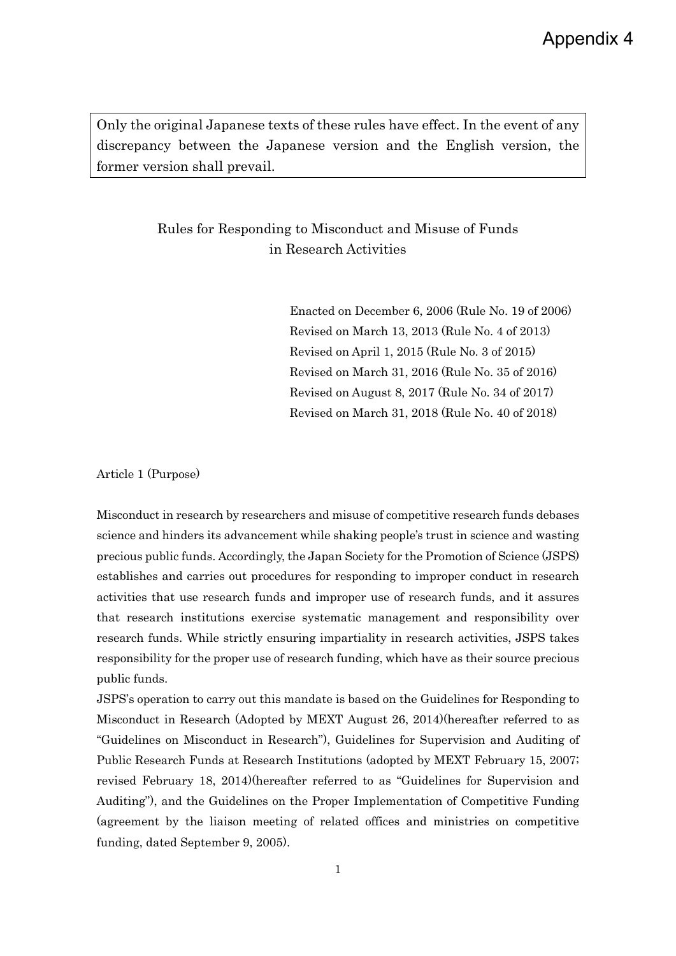Only the original Japanese texts of these rules have effect. In the event of any discrepancy between the Japanese version and the English version, the former version shall prevail.

# Rules for Responding to Misconduct and Misuse of Funds in Research Activities

Enacted on December 6, 2006 (Rule No. 19 of 2006) Revised on March 13, 2013 (Rule No. 4 of 2013) Revised on April 1, 2015 (Rule No. 3 of 2015) Revised on March 31, 2016 (Rule No. 35 of 2016) Revised on August 8, 2017 (Rule No. 34 of 2017) Revised on March 31, 2018 (Rule No. 40 of 2018)

Article 1 (Purpose)

Misconduct in research by researchers and misuse of competitive research funds debases science and hinders its advancement while shaking people's trust in science and wasting precious public funds. Accordingly, the Japan Society for the Promotion of Science (JSPS) establishes and carries out procedures for responding to improper conduct in research activities that use research funds and improper use of research funds, and it assures that research institutions exercise systematic management and responsibility over research funds. While strictly ensuring impartiality in research activities, JSPS takes responsibility for the proper use of research funding, which have as their source precious public funds.

JSPS's operation to carry out this mandate is based on the Guidelines for Responding to Misconduct in Research (Adopted by MEXT August 26, 2014)(hereafter referred to as "Guidelines on Misconduct in Research"), Guidelines for Supervision and Auditing of Public Research Funds at Research Institutions (adopted by MEXT February 15, 2007; revised February 18, 2014)(hereafter referred to as "Guidelines for Supervision and Auditing"), and the Guidelines on the Proper Implementation of Competitive Funding (agreement by the liaison meeting of related offices and ministries on competitive funding, dated September 9, 2005).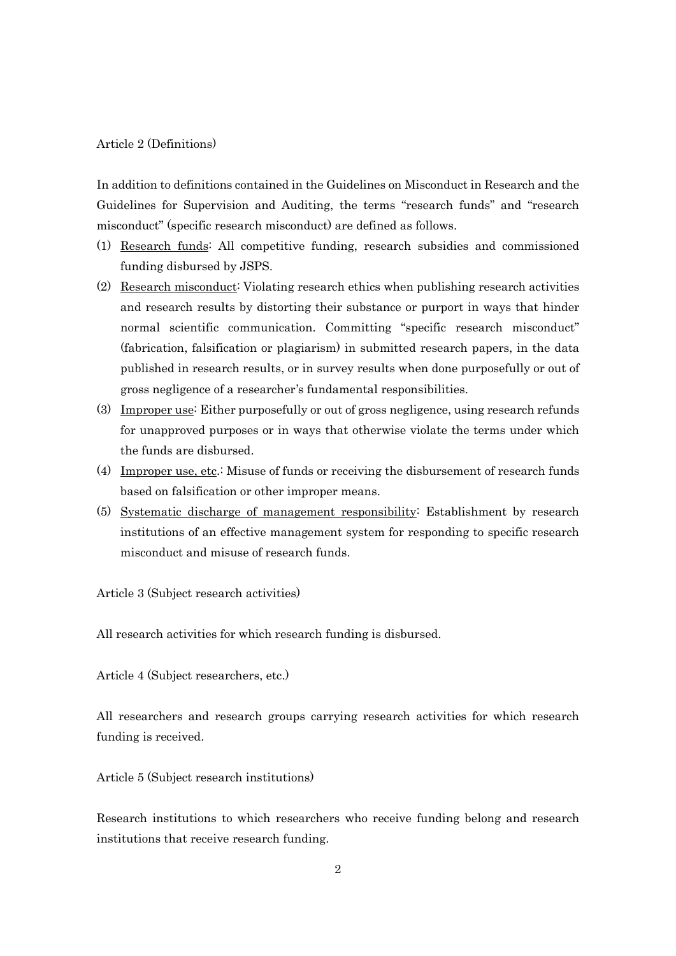#### Article 2 (Definitions)

In addition to definitions contained in the Guidelines on Misconduct in Research and the Guidelines for Supervision and Auditing, the terms "research funds" and "research misconduct" (specific research misconduct) are defined as follows.

- (1) Research funds: All competitive funding, research subsidies and commissioned funding disbursed by JSPS.
- (2) Research misconduct: Violating research ethics when publishing research activities and research results by distorting their substance or purport in ways that hinder normal scientific communication. Committing "specific research misconduct" (fabrication, falsification or plagiarism) in submitted research papers, in the data published in research results, or in survey results when done purposefully or out of gross negligence of a researcher's fundamental responsibilities.
- (3) Improper use: Either purposefully or out of gross negligence, using research refunds for unapproved purposes or in ways that otherwise violate the terms under which the funds are disbursed.
- (4) Improper use, etc.: Misuse of funds or receiving the disbursement of research funds based on falsification or other improper means.
- (5) Systematic discharge of management responsibility: Establishment by research institutions of an effective management system for responding to specific research misconduct and misuse of research funds.

Article 3 (Subject research activities)

All research activities for which research funding is disbursed.

Article 4 (Subject researchers, etc.)

All researchers and research groups carrying research activities for which research funding is received.

Article 5 (Subject research institutions)

Research institutions to which researchers who receive funding belong and research institutions that receive research funding.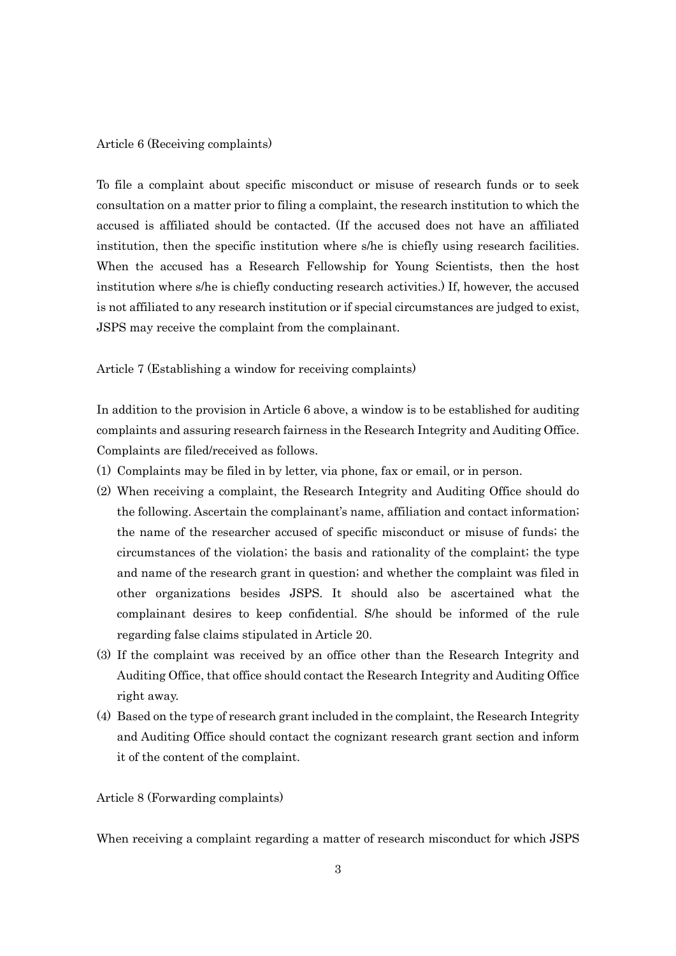#### Article 6 (Receiving complaints)

To file a complaint about specific misconduct or misuse of research funds or to seek consultation on a matter prior to filing a complaint, the research institution to which the accused is affiliated should be contacted. (If the accused does not have an affiliated institution, then the specific institution where s/he is chiefly using research facilities. When the accused has a Research Fellowship for Young Scientists, then the host institution where s/he is chiefly conducting research activities.) If, however, the accused is not affiliated to any research institution or if special circumstances are judged to exist, JSPS may receive the complaint from the complainant.

Article 7 (Establishing a window for receiving complaints)

In addition to the provision in Article 6 above, a window is to be established for auditing complaints and assuring research fairness in the Research Integrity and Auditing Office. Complaints are filed/received as follows.

- (1) Complaints may be filed in by letter, via phone, fax or email, or in person.
- (2) When receiving a complaint, the Research Integrity and Auditing Office should do the following. Ascertain the complainant's name, affiliation and contact information; the name of the researcher accused of specific misconduct or misuse of funds; the circumstances of the violation; the basis and rationality of the complaint; the type and name of the research grant in question; and whether the complaint was filed in other organizations besides JSPS. It should also be ascertained what the complainant desires to keep confidential. S/he should be informed of the rule regarding false claims stipulated in Article 20.
- (3) If the complaint was received by an office other than the Research Integrity and Auditing Office, that office should contact the Research Integrity and Auditing Office right away.
- (4) Based on the type of research grant included in the complaint, the Research Integrity and Auditing Office should contact the cognizant research grant section and inform it of the content of the complaint.

Article 8 (Forwarding complaints)

When receiving a complaint regarding a matter of research misconduct for which JSPS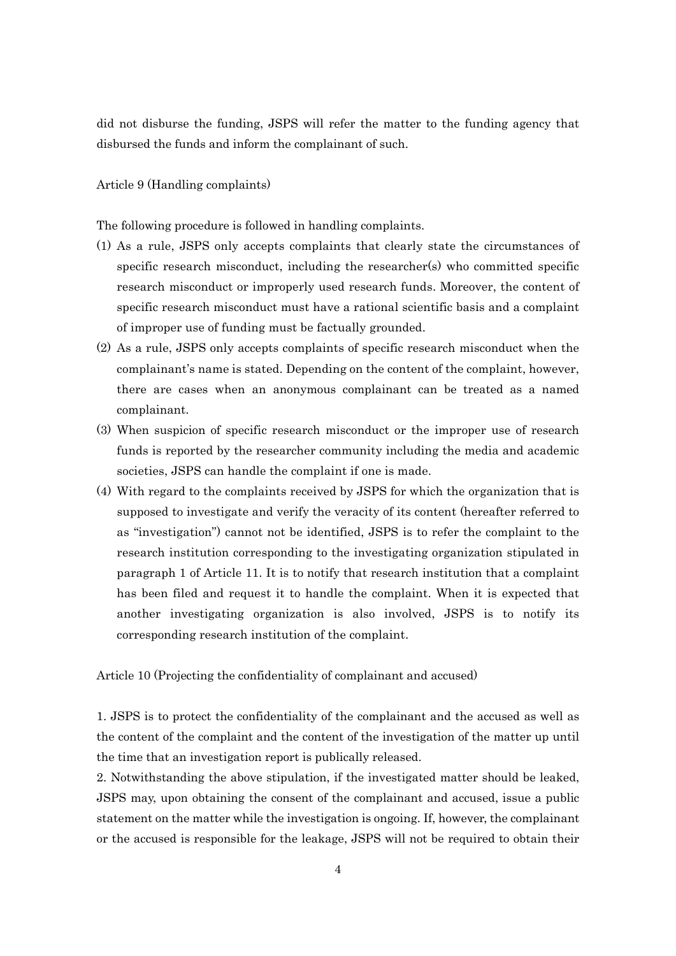did not disburse the funding, JSPS will refer the matter to the funding agency that disbursed the funds and inform the complainant of such.

Article 9 (Handling complaints)

The following procedure is followed in handling complaints.

- (1) As a rule, JSPS only accepts complaints that clearly state the circumstances of specific research misconduct, including the researcher(s) who committed specific research misconduct or improperly used research funds. Moreover, the content of specific research misconduct must have a rational scientific basis and a complaint of improper use of funding must be factually grounded.
- (2) As a rule, JSPS only accepts complaints of specific research misconduct when the complainant's name is stated. Depending on the content of the complaint, however, there are cases when an anonymous complainant can be treated as a named complainant.
- (3) When suspicion of specific research misconduct or the improper use of research funds is reported by the researcher community including the media and academic societies, JSPS can handle the complaint if one is made.
- (4) With regard to the complaints received by JSPS for which the organization that is supposed to investigate and verify the veracity of its content (hereafter referred to as "investigation") cannot not be identified, JSPS is to refer the complaint to the research institution corresponding to the investigating organization stipulated in paragraph 1 of Article 11. It is to notify that research institution that a complaint has been filed and request it to handle the complaint. When it is expected that another investigating organization is also involved, JSPS is to notify its corresponding research institution of the complaint.

Article 10 (Projecting the confidentiality of complainant and accused)

1. JSPS is to protect the confidentiality of the complainant and the accused as well as the content of the complaint and the content of the investigation of the matter up until the time that an investigation report is publically released.

2. Notwithstanding the above stipulation, if the investigated matter should be leaked, JSPS may, upon obtaining the consent of the complainant and accused, issue a public statement on the matter while the investigation is ongoing. If, however, the complainant or the accused is responsible for the leakage, JSPS will not be required to obtain their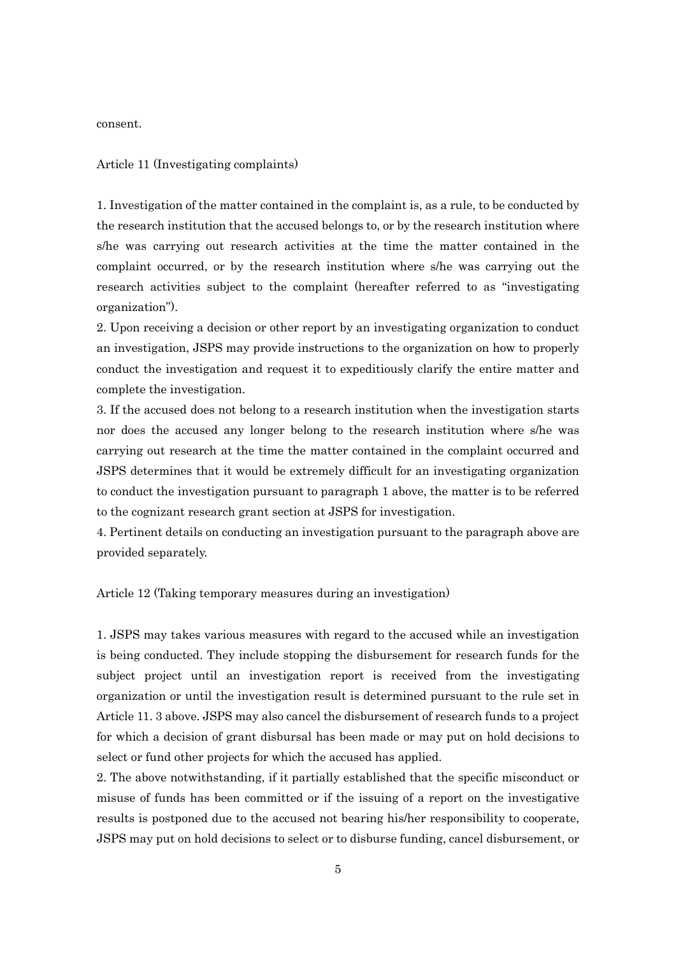consent.

#### Article 11 (Investigating complaints)

1. Investigation of the matter contained in the complaint is, as a rule, to be conducted by the research institution that the accused belongs to, or by the research institution where s/he was carrying out research activities at the time the matter contained in the complaint occurred, or by the research institution where s/he was carrying out the research activities subject to the complaint (hereafter referred to as "investigating organization").

2. Upon receiving a decision or other report by an investigating organization to conduct an investigation, JSPS may provide instructions to the organization on how to properly conduct the investigation and request it to expeditiously clarify the entire matter and complete the investigation.

3. If the accused does not belong to a research institution when the investigation starts nor does the accused any longer belong to the research institution where s/he was carrying out research at the time the matter contained in the complaint occurred and JSPS determines that it would be extremely difficult for an investigating organization to conduct the investigation pursuant to paragraph 1 above, the matter is to be referred to the cognizant research grant section at JSPS for investigation.

4. Pertinent details on conducting an investigation pursuant to the paragraph above are provided separately.

Article 12 (Taking temporary measures during an investigation)

1. JSPS may takes various measures with regard to the accused while an investigation is being conducted. They include stopping the disbursement for research funds for the subject project until an investigation report is received from the investigating organization or until the investigation result is determined pursuant to the rule set in Article 11. 3 above. JSPS may also cancel the disbursement of research funds to a project for which a decision of grant disbursal has been made or may put on hold decisions to select or fund other projects for which the accused has applied.

2. The above notwithstanding, if it partially established that the specific misconduct or misuse of funds has been committed or if the issuing of a report on the investigative results is postponed due to the accused not bearing his/her responsibility to cooperate, JSPS may put on hold decisions to select or to disburse funding, cancel disbursement, or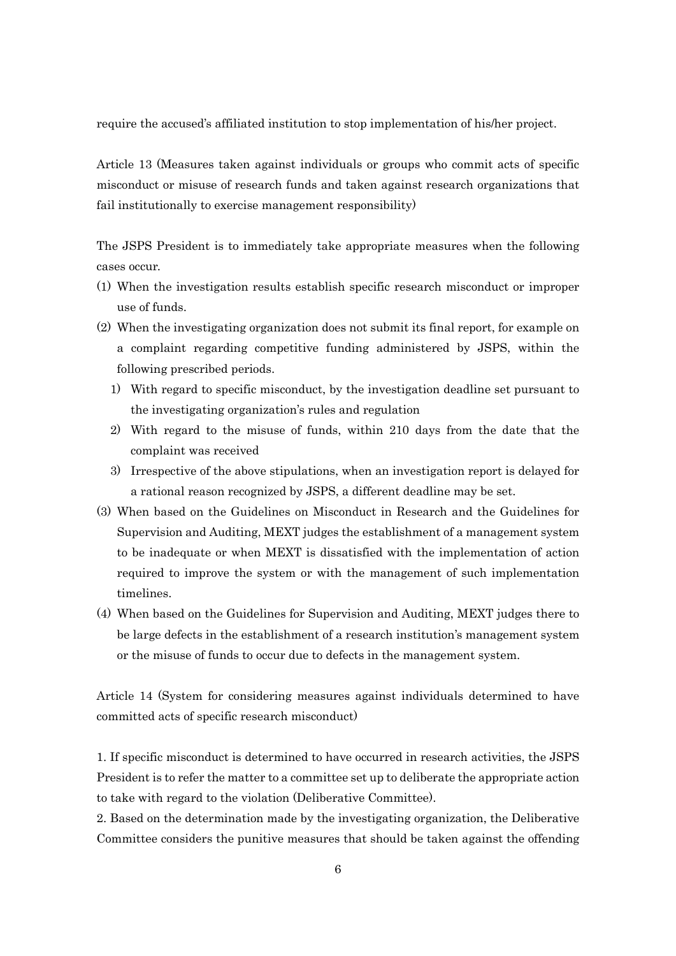require the accused's affiliated institution to stop implementation of his/her project.

Article 13 (Measures taken against individuals or groups who commit acts of specific misconduct or misuse of research funds and taken against research organizations that fail institutionally to exercise management responsibility)

The JSPS President is to immediately take appropriate measures when the following cases occur.

- (1) When the investigation results establish specific research misconduct or improper use of funds.
- (2) When the investigating organization does not submit its final report, for example on a complaint regarding competitive funding administered by JSPS, within the following prescribed periods.
	- 1) With regard to specific misconduct, by the investigation deadline set pursuant to the investigating organization's rules and regulation
	- 2) With regard to the misuse of funds, within 210 days from the date that the complaint was received
	- 3) Irrespective of the above stipulations, when an investigation report is delayed for a rational reason recognized by JSPS, a different deadline may be set.
- (3) When based on the Guidelines on Misconduct in Research and the Guidelines for Supervision and Auditing, MEXT judges the establishment of a management system to be inadequate or when MEXT is dissatisfied with the implementation of action required to improve the system or with the management of such implementation timelines.
- (4) When based on the Guidelines for Supervision and Auditing, MEXT judges there to be large defects in the establishment of a research institution's management system or the misuse of funds to occur due to defects in the management system.

Article 14 (System for considering measures against individuals determined to have committed acts of specific research misconduct)

1. If specific misconduct is determined to have occurred in research activities, the JSPS President is to refer the matter to a committee set up to deliberate the appropriate action to take with regard to the violation (Deliberative Committee).

2. Based on the determination made by the investigating organization, the Deliberative Committee considers the punitive measures that should be taken against the offending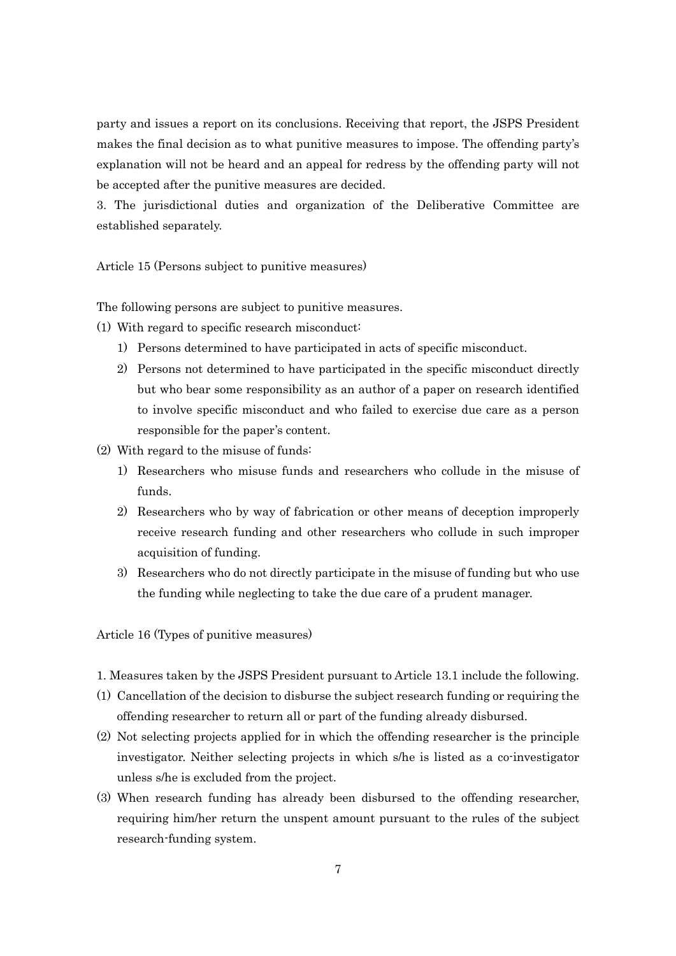party and issues a report on its conclusions. Receiving that report, the JSPS President makes the final decision as to what punitive measures to impose. The offending party's explanation will not be heard and an appeal for redress by the offending party will not be accepted after the punitive measures are decided.

3. The jurisdictional duties and organization of the Deliberative Committee are established separately.

Article 15 (Persons subject to punitive measures)

The following persons are subject to punitive measures.

- (1) With regard to specific research misconduct:
	- 1) Persons determined to have participated in acts of specific misconduct.
	- 2) Persons not determined to have participated in the specific misconduct directly but who bear some responsibility as an author of a paper on research identified to involve specific misconduct and who failed to exercise due care as a person responsible for the paper's content.
- (2) With regard to the misuse of funds:
	- 1) Researchers who misuse funds and researchers who collude in the misuse of funds.
	- 2) Researchers who by way of fabrication or other means of deception improperly receive research funding and other researchers who collude in such improper acquisition of funding.
	- 3) Researchers who do not directly participate in the misuse of funding but who use the funding while neglecting to take the due care of a prudent manager.

Article 16 (Types of punitive measures)

- 1. Measures taken by the JSPS President pursuant to Article 13.1 include the following.
- (1) Cancellation of the decision to disburse the subject research funding or requiring the offending researcher to return all or part of the funding already disbursed.
- (2) Not selecting projects applied for in which the offending researcher is the principle investigator. Neither selecting projects in which s/he is listed as a co-investigator unless s/he is excluded from the project.
- (3) When research funding has already been disbursed to the offending researcher, requiring him/her return the unspent amount pursuant to the rules of the subject research-funding system.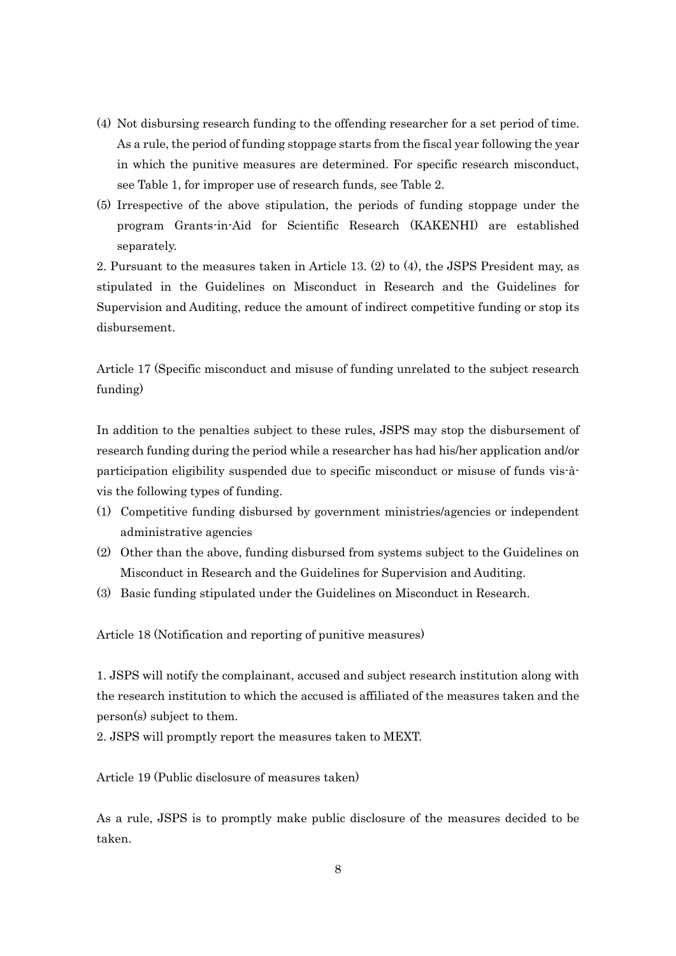- (4) Not disbursing research funding to the offending researcher for a set period of time. As a rule, the period of funding stoppage starts from the fiscal year following the year in which the punitive measures are determined. For specific research misconduct, see Table 1, for improper use of research funds, see Table 2.
- (5) Irrespective of the above stipulation, the periods of funding stoppage under the program Grants-in-Aid for Scientific Research (KAKENHI) are established separately.

2. Pursuant to the measures taken in Article 13. (2) to (4), the JSPS President may, as stipulated in the Guidelines on Misconduct in Research and the Guidelines for Supervision and Auditing, reduce the amount of indirect competitive funding or stop its disbursement.

Article 17 (Specific misconduct and misuse of funding unrelated to the subject research funding)

In addition to the penalties subject to these rules, JSPS may stop the disbursement of research funding during the period while a researcher has had his/her application and/or participation eligibility suspended due to specific misconduct or misuse of funds vis-àvis the following types of funding.

- (1) Competitive funding disbursed by government ministries/agencies or independent administrative agencies
- (2) Other than the above, funding disbursed from systems subject to the Guidelines on Misconduct in Research and the Guidelines for Supervision and Auditing.
- (3) Basic funding stipulated under the Guidelines on Misconduct in Research.

Article 18 (Notification and reporting of punitive measures)

1. JSPS will notify the complainant, accused and subject research institution along with the research institution to which the accused is affiliated of the measures taken and the person(s) subject to them.

2. JSPS will promptly report the measures taken to MEXT.

Article 19 (Public disclosure of measures taken)

As a rule, JSPS is to promptly make public disclosure of the measures decided to be taken.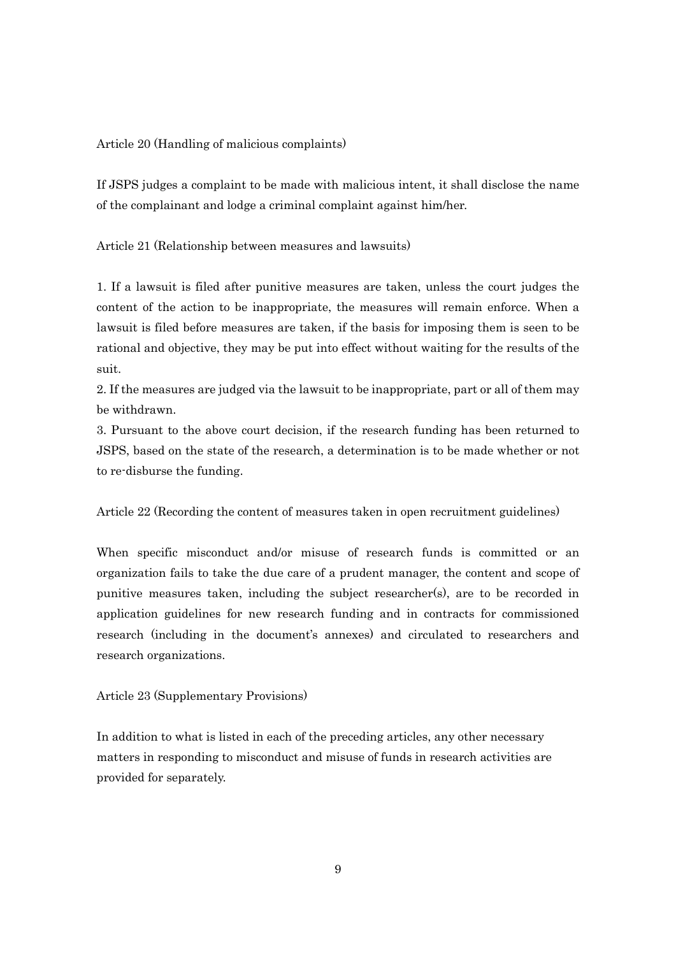Article 20 (Handling of malicious complaints)

If JSPS judges a complaint to be made with malicious intent, it shall disclose the name of the complainant and lodge a criminal complaint against him/her.

Article 21 (Relationship between measures and lawsuits)

1. If a lawsuit is filed after punitive measures are taken, unless the court judges the content of the action to be inappropriate, the measures will remain enforce. When a lawsuit is filed before measures are taken, if the basis for imposing them is seen to be rational and objective, they may be put into effect without waiting for the results of the suit.

2. If the measures are judged via the lawsuit to be inappropriate, part or all of them may be withdrawn.

3. Pursuant to the above court decision, if the research funding has been returned to JSPS, based on the state of the research, a determination is to be made whether or not to re-disburse the funding.

Article 22 (Recording the content of measures taken in open recruitment guidelines)

When specific misconduct and/or misuse of research funds is committed or an organization fails to take the due care of a prudent manager, the content and scope of punitive measures taken, including the subject researcher(s), are to be recorded in application guidelines for new research funding and in contracts for commissioned research (including in the document's annexes) and circulated to researchers and research organizations.

Article 23 (Supplementary Provisions)

In addition to what is listed in each of the preceding articles, any other necessary matters in responding to misconduct and misuse of funds in research activities are provided for separately.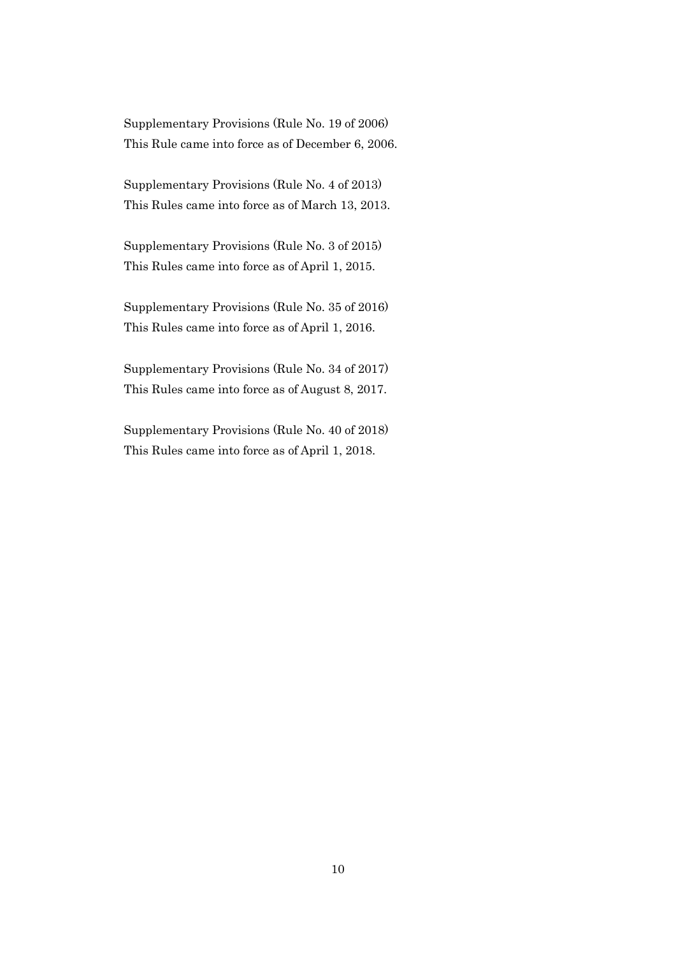Supplementary Provisions (Rule No. 19 of 2006) This Rule came into force as of December 6, 2006.

Supplementary Provisions (Rule No. 4 of 2013) This Rules came into force as of March 13, 2013.

Supplementary Provisions (Rule No. 3 of 2015) This Rules came into force as of April 1, 2015.

Supplementary Provisions (Rule No. 35 of 2016) This Rules came into force as of April 1, 2016.

Supplementary Provisions (Rule No. 34 of 2017) This Rules came into force as of August 8, 2017.

Supplementary Provisions (Rule No. 40 of 2018) This Rules came into force as of April 1, 2018.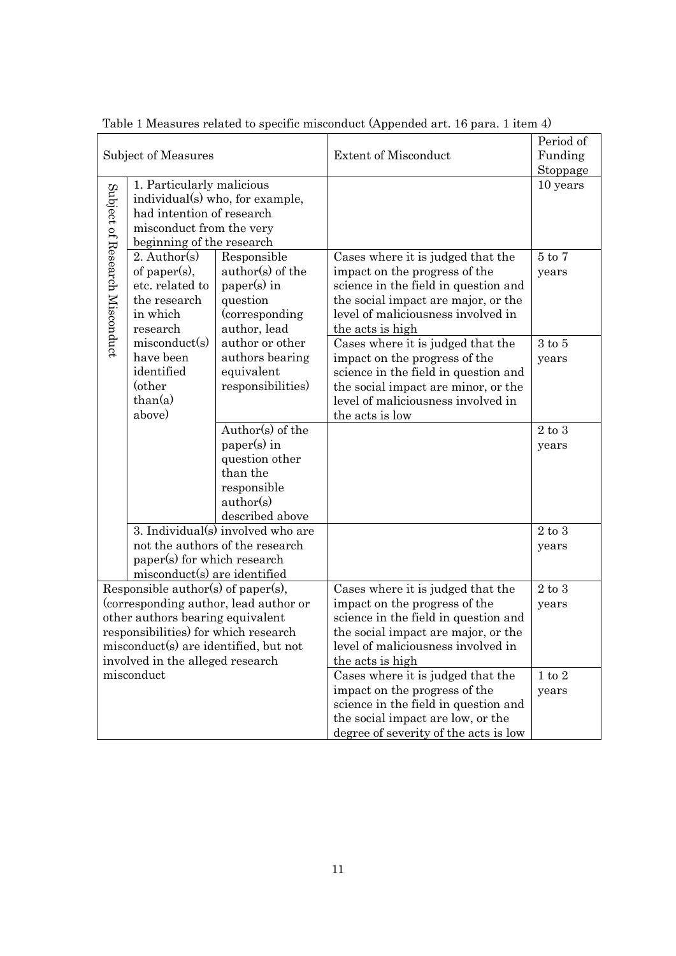| Subject of Measures                                                                                                                                                                                                                  |                                                                                                                                                    |                                                                                                              | <b>Extent of Misconduct</b>                                                                                                                                                                                 | Period of<br>Funding<br>Stoppage |
|--------------------------------------------------------------------------------------------------------------------------------------------------------------------------------------------------------------------------------------|----------------------------------------------------------------------------------------------------------------------------------------------------|--------------------------------------------------------------------------------------------------------------|-------------------------------------------------------------------------------------------------------------------------------------------------------------------------------------------------------------|----------------------------------|
|                                                                                                                                                                                                                                      | 1. Particularly malicious<br>individual(s) who, for example,<br>had intention of research<br>misconduct from the very<br>beginning of the research |                                                                                                              |                                                                                                                                                                                                             | 10 years                         |
| Subject of Research Misconduct                                                                                                                                                                                                       | 2. Author(s)<br>of paper(s),<br>etc. related to<br>the research<br>in which<br>research                                                            | Responsible<br>author(s) of the<br>paper(s) in<br>question<br>(corresponding)<br>author, lead                | Cases where it is judged that the<br>impact on the progress of the<br>science in the field in question and<br>the social impact are major, or the<br>level of maliciousness involved in<br>the acts is high | $5$ to $7$<br>years              |
|                                                                                                                                                                                                                                      | misconduct(s)<br>have been<br>identified<br>(other<br>than(a)<br>above)                                                                            | author or other<br>authors bearing<br>equivalent<br>responsibilities)                                        | Cases where it is judged that the<br>impact on the progress of the<br>science in the field in question and<br>the social impact are minor, or the<br>level of maliciousness involved in<br>the acts is low  | $3$ to $5$<br>years              |
|                                                                                                                                                                                                                                      |                                                                                                                                                    | Author(s) of the<br>paper(s) in<br>question other<br>than the<br>responsible<br>author(s)<br>described above |                                                                                                                                                                                                             | $2$ to $3$<br>years              |
| 3. Individual(s) involved who are<br>not the authors of the research<br>paper(s) for which research<br>misconduct(s) are identified                                                                                                  |                                                                                                                                                    |                                                                                                              |                                                                                                                                                                                                             | $2$ to $3$<br>years              |
| Responsible author(s) of paper(s),<br>(corresponding author, lead author or<br>other authors bearing equivalent<br>responsibilities) for which research<br>misconduct(s) are identified, but not<br>involved in the alleged research |                                                                                                                                                    |                                                                                                              | Cases where it is judged that the<br>impact on the progress of the<br>science in the field in question and<br>the social impact are major, or the<br>level of maliciousness involved in<br>the acts is high | $2$ to $3$<br>years              |
|                                                                                                                                                                                                                                      | misconduct                                                                                                                                         |                                                                                                              | Cases where it is judged that the<br>impact on the progress of the<br>science in the field in question and<br>the social impact are low, or the<br>degree of severity of the acts is low                    | $1$ to $2$<br>years              |

Table 1 Measures related to specific misconduct (Appended art. 16 para. 1 item 4)